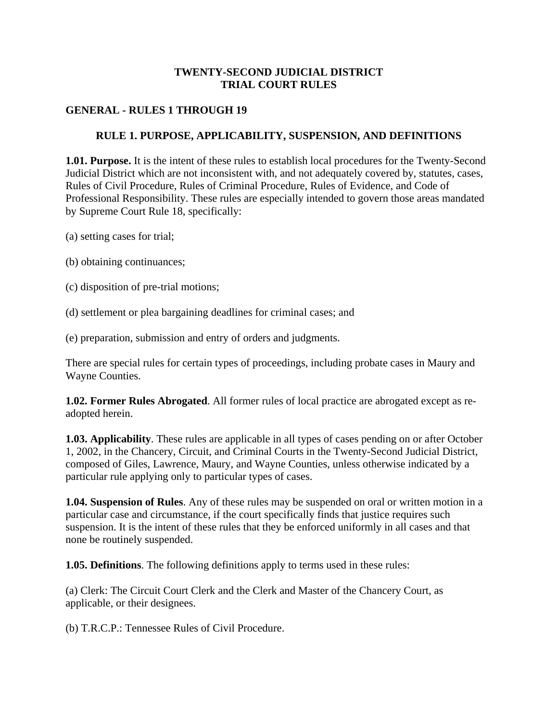#### **TWENTY-SECOND JUDICIAL DISTRICT TRIAL COURT RULES**

### **GENERAL - RULES 1 THROUGH 19**

### **RULE 1. PURPOSE, APPLICABILITY, SUSPENSION, AND DEFINITIONS**

**1.01. Purpose.** It is the intent of these rules to establish local procedures for the Twenty-Second Judicial District which are not inconsistent with, and not adequately covered by, statutes, cases, Rules of Civil Procedure, Rules of Criminal Procedure, Rules of Evidence, and Code of Professional Responsibility. These rules are especially intended to govern those areas mandated by Supreme Court Rule 18, specifically:

(a) setting cases for trial;

(b) obtaining continuances;

(c) disposition of pre-trial motions;

(d) settlement or plea bargaining deadlines for criminal cases; and

(e) preparation, submission and entry of orders and judgments.

There are special rules for certain types of proceedings, including probate cases in Maury and Wayne Counties.

**1.02. Former Rules Abrogated**. All former rules of local practice are abrogated except as readopted herein.

**1.03. Applicability**. These rules are applicable in all types of cases pending on or after October 1, 2002, in the Chancery, Circuit, and Criminal Courts in the Twenty-Second Judicial District, composed of Giles, Lawrence, Maury, and Wayne Counties, unless otherwise indicated by a particular rule applying only to particular types of cases.

**1.04. Suspension of Rules**. Any of these rules may be suspended on oral or written motion in a particular case and circumstance, if the court specifically finds that justice requires such suspension. It is the intent of these rules that they be enforced uniformly in all cases and that none be routinely suspended.

**1.05. Definitions**. The following definitions apply to terms used in these rules:

(a) Clerk: The Circuit Court Clerk and the Clerk and Master of the Chancery Court, as applicable, or their designees.

(b) T.R.C.P.: Tennessee Rules of Civil Procedure.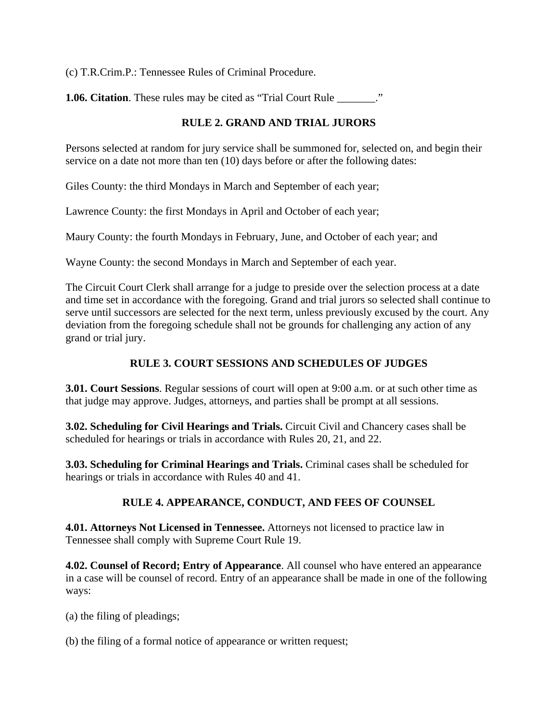(c) T.R.Crim.P.: Tennessee Rules of Criminal Procedure.

**1.06. Citation**. These rules may be cited as "Trial Court Rule \_\_\_\_\_\_\_."

# **RULE 2. GRAND AND TRIAL JURORS**

Persons selected at random for jury service shall be summoned for, selected on, and begin their service on a date not more than ten (10) days before or after the following dates:

Giles County: the third Mondays in March and September of each year;

Lawrence County: the first Mondays in April and October of each year;

Maury County: the fourth Mondays in February, June, and October of each year; and

Wayne County: the second Mondays in March and September of each year.

The Circuit Court Clerk shall arrange for a judge to preside over the selection process at a date and time set in accordance with the foregoing. Grand and trial jurors so selected shall continue to serve until successors are selected for the next term, unless previously excused by the court. Any deviation from the foregoing schedule shall not be grounds for challenging any action of any grand or trial jury.

# **RULE 3. COURT SESSIONS AND SCHEDULES OF JUDGES**

**3.01. Court Sessions**. Regular sessions of court will open at 9:00 a.m. or at such other time as that judge may approve. Judges, attorneys, and parties shall be prompt at all sessions.

**3.02. Scheduling for Civil Hearings and Trials.** Circuit Civil and Chancery cases shall be scheduled for hearings or trials in accordance with Rules 20, 21, and 22.

**3.03. Scheduling for Criminal Hearings and Trials.** Criminal cases shall be scheduled for hearings or trials in accordance with Rules 40 and 41.

## **RULE 4. APPEARANCE, CONDUCT, AND FEES OF COUNSEL**

**4.01. Attorneys Not Licensed in Tennessee.** Attorneys not licensed to practice law in Tennessee shall comply with Supreme Court Rule 19.

**4.02. Counsel of Record; Entry of Appearance**. All counsel who have entered an appearance in a case will be counsel of record. Entry of an appearance shall be made in one of the following ways:

(a) the filing of pleadings;

(b) the filing of a formal notice of appearance or written request;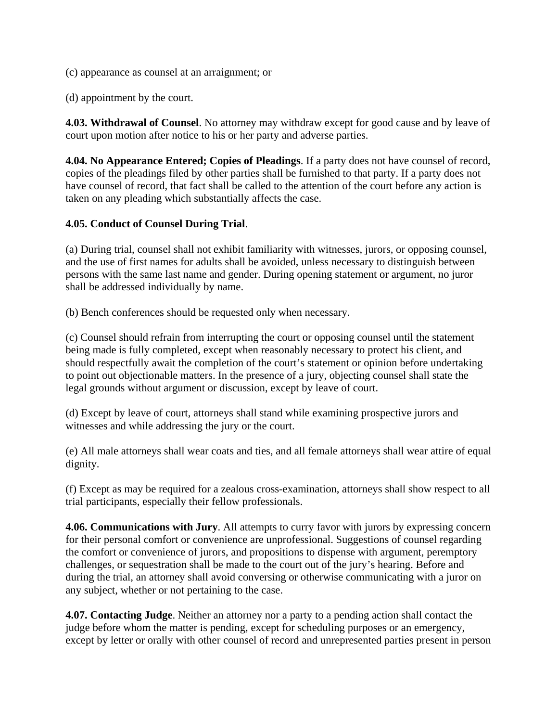(c) appearance as counsel at an arraignment; or

(d) appointment by the court.

**4.03. Withdrawal of Counsel**. No attorney may withdraw except for good cause and by leave of court upon motion after notice to his or her party and adverse parties.

**4.04. No Appearance Entered; Copies of Pleadings**. If a party does not have counsel of record, copies of the pleadings filed by other parties shall be furnished to that party. If a party does not have counsel of record, that fact shall be called to the attention of the court before any action is taken on any pleading which substantially affects the case.

#### **4.05. Conduct of Counsel During Trial**.

(a) During trial, counsel shall not exhibit familiarity with witnesses, jurors, or opposing counsel, and the use of first names for adults shall be avoided, unless necessary to distinguish between persons with the same last name and gender. During opening statement or argument, no juror shall be addressed individually by name.

(b) Bench conferences should be requested only when necessary.

(c) Counsel should refrain from interrupting the court or opposing counsel until the statement being made is fully completed, except when reasonably necessary to protect his client, and should respectfully await the completion of the court's statement or opinion before undertaking to point out objectionable matters. In the presence of a jury, objecting counsel shall state the legal grounds without argument or discussion, except by leave of court.

(d) Except by leave of court, attorneys shall stand while examining prospective jurors and witnesses and while addressing the jury or the court.

(e) All male attorneys shall wear coats and ties, and all female attorneys shall wear attire of equal dignity.

(f) Except as may be required for a zealous cross-examination, attorneys shall show respect to all trial participants, especially their fellow professionals.

**4.06. Communications with Jury**. All attempts to curry favor with jurors by expressing concern for their personal comfort or convenience are unprofessional. Suggestions of counsel regarding the comfort or convenience of jurors, and propositions to dispense with argument, peremptory challenges, or sequestration shall be made to the court out of the jury's hearing. Before and during the trial, an attorney shall avoid conversing or otherwise communicating with a juror on any subject, whether or not pertaining to the case.

**4.07. Contacting Judge**. Neither an attorney nor a party to a pending action shall contact the judge before whom the matter is pending, except for scheduling purposes or an emergency, except by letter or orally with other counsel of record and unrepresented parties present in person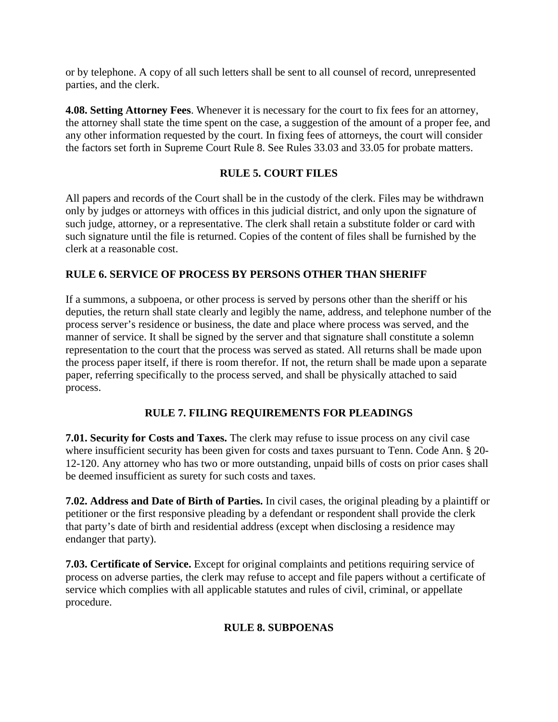or by telephone. A copy of all such letters shall be sent to all counsel of record, unrepresented parties, and the clerk.

**4.08. Setting Attorney Fees**. Whenever it is necessary for the court to fix fees for an attorney, the attorney shall state the time spent on the case, a suggestion of the amount of a proper fee, and any other information requested by the court. In fixing fees of attorneys, the court will consider the factors set forth in Supreme Court Rule 8. See Rules 33.03 and 33.05 for probate matters.

## **RULE 5. COURT FILES**

All papers and records of the Court shall be in the custody of the clerk. Files may be withdrawn only by judges or attorneys with offices in this judicial district, and only upon the signature of such judge, attorney, or a representative. The clerk shall retain a substitute folder or card with such signature until the file is returned. Copies of the content of files shall be furnished by the clerk at a reasonable cost.

#### **RULE 6. SERVICE OF PROCESS BY PERSONS OTHER THAN SHERIFF**

If a summons, a subpoena, or other process is served by persons other than the sheriff or his deputies, the return shall state clearly and legibly the name, address, and telephone number of the process server's residence or business, the date and place where process was served, and the manner of service. It shall be signed by the server and that signature shall constitute a solemn representation to the court that the process was served as stated. All returns shall be made upon the process paper itself, if there is room therefor. If not, the return shall be made upon a separate paper, referring specifically to the process served, and shall be physically attached to said process.

#### **RULE 7. FILING REQUIREMENTS FOR PLEADINGS**

**7.01. Security for Costs and Taxes.** The clerk may refuse to issue process on any civil case where insufficient security has been given for costs and taxes pursuant to Tenn. Code Ann. § 20- 12-120. Any attorney who has two or more outstanding, unpaid bills of costs on prior cases shall be deemed insufficient as surety for such costs and taxes.

**7.02. Address and Date of Birth of Parties.** In civil cases, the original pleading by a plaintiff or petitioner or the first responsive pleading by a defendant or respondent shall provide the clerk that party's date of birth and residential address (except when disclosing a residence may endanger that party).

**7.03. Certificate of Service.** Except for original complaints and petitions requiring service of process on adverse parties, the clerk may refuse to accept and file papers without a certificate of service which complies with all applicable statutes and rules of civil, criminal, or appellate procedure.

## **RULE 8. SUBPOENAS**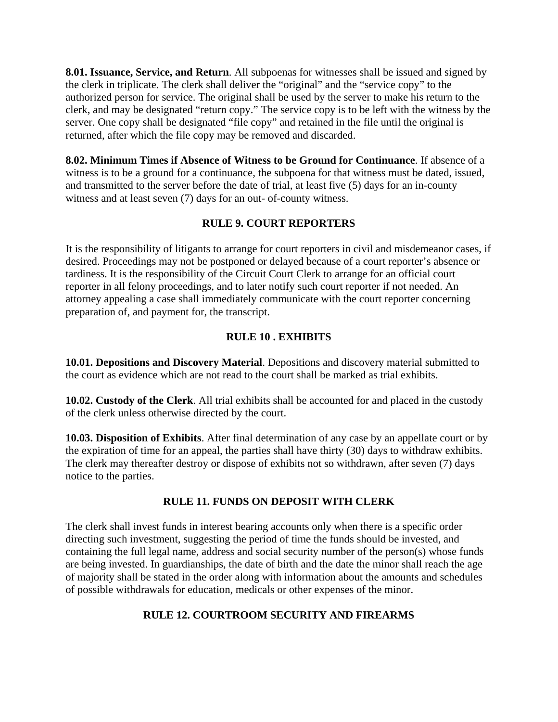**8.01. Issuance, Service, and Return**. All subpoenas for witnesses shall be issued and signed by the clerk in triplicate. The clerk shall deliver the "original" and the "service copy" to the authorized person for service. The original shall be used by the server to make his return to the clerk, and may be designated "return copy." The service copy is to be left with the witness by the server. One copy shall be designated "file copy" and retained in the file until the original is returned, after which the file copy may be removed and discarded.

**8.02. Minimum Times if Absence of Witness to be Ground for Continuance**. If absence of a witness is to be a ground for a continuance, the subpoena for that witness must be dated, issued, and transmitted to the server before the date of trial, at least five (5) days for an in-county witness and at least seven (7) days for an out- of-county witness.

### **RULE 9. COURT REPORTERS**

It is the responsibility of litigants to arrange for court reporters in civil and misdemeanor cases, if desired. Proceedings may not be postponed or delayed because of a court reporter's absence or tardiness. It is the responsibility of the Circuit Court Clerk to arrange for an official court reporter in all felony proceedings, and to later notify such court reporter if not needed. An attorney appealing a case shall immediately communicate with the court reporter concerning preparation of, and payment for, the transcript.

### **RULE 10 . EXHIBITS**

**10.01. Depositions and Discovery Material**. Depositions and discovery material submitted to the court as evidence which are not read to the court shall be marked as trial exhibits.

**10.02. Custody of the Clerk**. All trial exhibits shall be accounted for and placed in the custody of the clerk unless otherwise directed by the court.

**10.03. Disposition of Exhibits**. After final determination of any case by an appellate court or by the expiration of time for an appeal, the parties shall have thirty (30) days to withdraw exhibits. The clerk may thereafter destroy or dispose of exhibits not so withdrawn, after seven (7) days notice to the parties.

#### **RULE 11. FUNDS ON DEPOSIT WITH CLERK**

The clerk shall invest funds in interest bearing accounts only when there is a specific order directing such investment, suggesting the period of time the funds should be invested, and containing the full legal name, address and social security number of the person(s) whose funds are being invested. In guardianships, the date of birth and the date the minor shall reach the age of majority shall be stated in the order along with information about the amounts and schedules of possible withdrawals for education, medicals or other expenses of the minor.

### **RULE 12. COURTROOM SECURITY AND FIREARMS**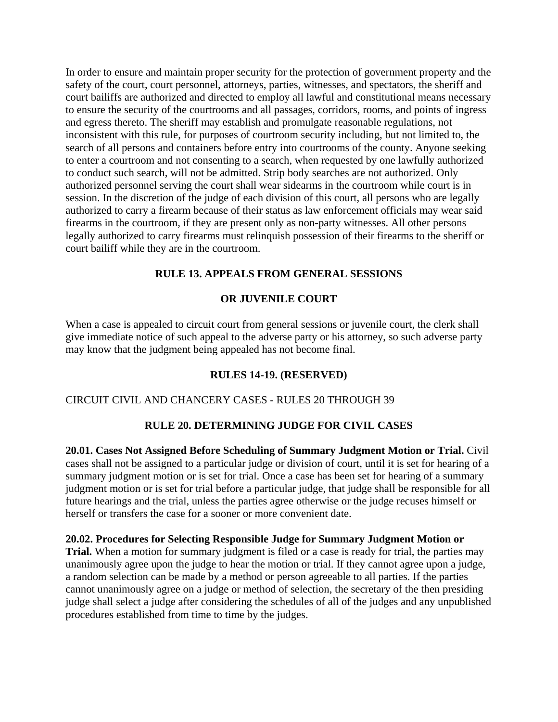In order to ensure and maintain proper security for the protection of government property and the safety of the court, court personnel, attorneys, parties, witnesses, and spectators, the sheriff and court bailiffs are authorized and directed to employ all lawful and constitutional means necessary to ensure the security of the courtrooms and all passages, corridors, rooms, and points of ingress and egress thereto. The sheriff may establish and promulgate reasonable regulations, not inconsistent with this rule, for purposes of courtroom security including, but not limited to, the search of all persons and containers before entry into courtrooms of the county. Anyone seeking to enter a courtroom and not consenting to a search, when requested by one lawfully authorized to conduct such search, will not be admitted. Strip body searches are not authorized. Only authorized personnel serving the court shall wear sidearms in the courtroom while court is in session. In the discretion of the judge of each division of this court, all persons who are legally authorized to carry a firearm because of their status as law enforcement officials may wear said firearms in the courtroom, if they are present only as non-party witnesses. All other persons legally authorized to carry firearms must relinquish possession of their firearms to the sheriff or court bailiff while they are in the courtroom.

#### **RULE 13. APPEALS FROM GENERAL SESSIONS**

### **OR JUVENILE COURT**

When a case is appealed to circuit court from general sessions or juvenile court, the clerk shall give immediate notice of such appeal to the adverse party or his attorney, so such adverse party may know that the judgment being appealed has not become final.

#### **RULES 14-19. (RESERVED)**

#### CIRCUIT CIVIL AND CHANCERY CASES - RULES 20 THROUGH 39

#### **RULE 20. DETERMINING JUDGE FOR CIVIL CASES**

**20.01. Cases Not Assigned Before Scheduling of Summary Judgment Motion or Trial.** Civil cases shall not be assigned to a particular judge or division of court, until it is set for hearing of a summary judgment motion or is set for trial. Once a case has been set for hearing of a summary judgment motion or is set for trial before a particular judge, that judge shall be responsible for all future hearings and the trial, unless the parties agree otherwise or the judge recuses himself or herself or transfers the case for a sooner or more convenient date.

#### **20.02. Procedures for Selecting Responsible Judge for Summary Judgment Motion or**

**Trial.** When a motion for summary judgment is filed or a case is ready for trial, the parties may unanimously agree upon the judge to hear the motion or trial. If they cannot agree upon a judge, a random selection can be made by a method or person agreeable to all parties. If the parties cannot unanimously agree on a judge or method of selection, the secretary of the then presiding judge shall select a judge after considering the schedules of all of the judges and any unpublished procedures established from time to time by the judges.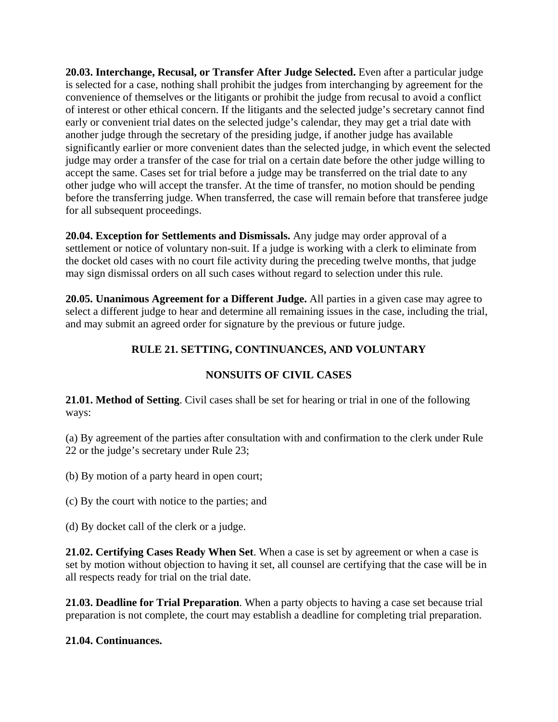**20.03. Interchange, Recusal, or Transfer After Judge Selected.** Even after a particular judge is selected for a case, nothing shall prohibit the judges from interchanging by agreement for the convenience of themselves or the litigants or prohibit the judge from recusal to avoid a conflict of interest or other ethical concern. If the litigants and the selected judge's secretary cannot find early or convenient trial dates on the selected judge's calendar, they may get a trial date with another judge through the secretary of the presiding judge, if another judge has available significantly earlier or more convenient dates than the selected judge, in which event the selected judge may order a transfer of the case for trial on a certain date before the other judge willing to accept the same. Cases set for trial before a judge may be transferred on the trial date to any other judge who will accept the transfer. At the time of transfer, no motion should be pending before the transferring judge. When transferred, the case will remain before that transferee judge for all subsequent proceedings.

**20.04. Exception for Settlements and Dismissals.** Any judge may order approval of a settlement or notice of voluntary non-suit. If a judge is working with a clerk to eliminate from the docket old cases with no court file activity during the preceding twelve months, that judge may sign dismissal orders on all such cases without regard to selection under this rule.

**20.05. Unanimous Agreement for a Different Judge.** All parties in a given case may agree to select a different judge to hear and determine all remaining issues in the case, including the trial, and may submit an agreed order for signature by the previous or future judge.

## **RULE 21. SETTING, CONTINUANCES, AND VOLUNTARY**

## **NONSUITS OF CIVIL CASES**

**21.01. Method of Setting**. Civil cases shall be set for hearing or trial in one of the following ways:

(a) By agreement of the parties after consultation with and confirmation to the clerk under Rule 22 or the judge's secretary under Rule 23;

(b) By motion of a party heard in open court;

(c) By the court with notice to the parties; and

(d) By docket call of the clerk or a judge.

**21.02. Certifying Cases Ready When Set**. When a case is set by agreement or when a case is set by motion without objection to having it set, all counsel are certifying that the case will be in all respects ready for trial on the trial date.

**21.03. Deadline for Trial Preparation**. When a party objects to having a case set because trial preparation is not complete, the court may establish a deadline for completing trial preparation.

#### **21.04. Continuances.**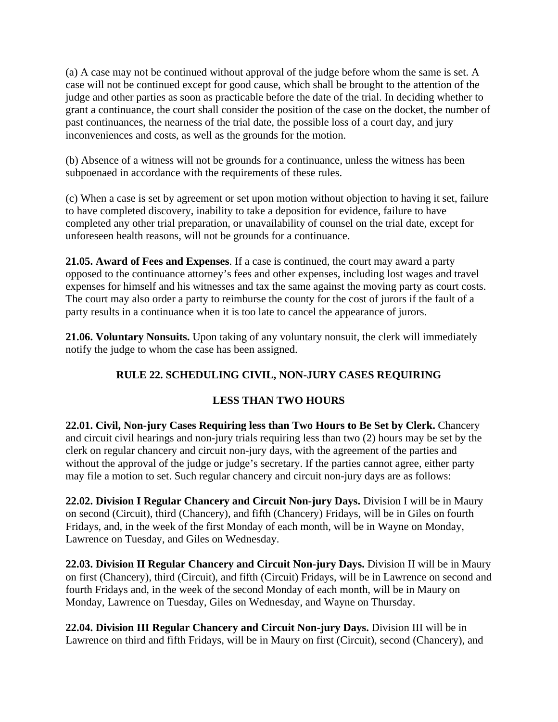(a) A case may not be continued without approval of the judge before whom the same is set. A case will not be continued except for good cause, which shall be brought to the attention of the judge and other parties as soon as practicable before the date of the trial. In deciding whether to grant a continuance, the court shall consider the position of the case on the docket, the number of past continuances, the nearness of the trial date, the possible loss of a court day, and jury inconveniences and costs, as well as the grounds for the motion.

(b) Absence of a witness will not be grounds for a continuance, unless the witness has been subpoenaed in accordance with the requirements of these rules.

(c) When a case is set by agreement or set upon motion without objection to having it set, failure to have completed discovery, inability to take a deposition for evidence, failure to have completed any other trial preparation, or unavailability of counsel on the trial date, except for unforeseen health reasons, will not be grounds for a continuance.

**21.05. Award of Fees and Expenses**. If a case is continued, the court may award a party opposed to the continuance attorney's fees and other expenses, including lost wages and travel expenses for himself and his witnesses and tax the same against the moving party as court costs. The court may also order a party to reimburse the county for the cost of jurors if the fault of a party results in a continuance when it is too late to cancel the appearance of jurors.

**21.06. Voluntary Nonsuits.** Upon taking of any voluntary nonsuit, the clerk will immediately notify the judge to whom the case has been assigned.

# **RULE 22. SCHEDULING CIVIL, NON-JURY CASES REQUIRING**

# **LESS THAN TWO HOURS**

**22.01. Civil, Non-jury Cases Requiring less than Two Hours to Be Set by Clerk.** Chancery and circuit civil hearings and non-jury trials requiring less than two (2) hours may be set by the clerk on regular chancery and circuit non-jury days, with the agreement of the parties and without the approval of the judge or judge's secretary. If the parties cannot agree, either party may file a motion to set. Such regular chancery and circuit non-jury days are as follows:

**22.02. Division I Regular Chancery and Circuit Non-jury Days.** Division I will be in Maury on second (Circuit), third (Chancery), and fifth (Chancery) Fridays, will be in Giles on fourth Fridays, and, in the week of the first Monday of each month, will be in Wayne on Monday, Lawrence on Tuesday, and Giles on Wednesday.

**22.03. Division II Regular Chancery and Circuit Non-jury Days.** Division II will be in Maury on first (Chancery), third (Circuit), and fifth (Circuit) Fridays, will be in Lawrence on second and fourth Fridays and, in the week of the second Monday of each month, will be in Maury on Monday, Lawrence on Tuesday, Giles on Wednesday, and Wayne on Thursday.

**22.04. Division III Regular Chancery and Circuit Non-jury Days.** Division III will be in Lawrence on third and fifth Fridays, will be in Maury on first (Circuit), second (Chancery), and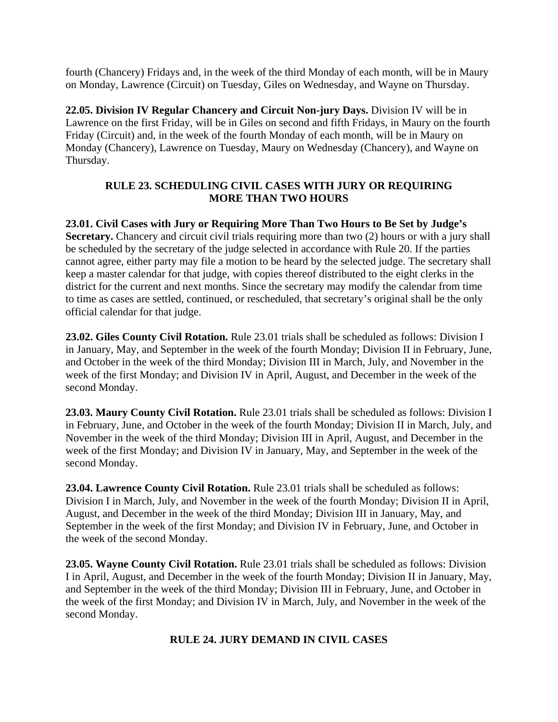fourth (Chancery) Fridays and, in the week of the third Monday of each month, will be in Maury on Monday, Lawrence (Circuit) on Tuesday, Giles on Wednesday, and Wayne on Thursday.

**22.05. Division IV Regular Chancery and Circuit Non-jury Days.** Division IV will be in Lawrence on the first Friday, will be in Giles on second and fifth Fridays, in Maury on the fourth Friday (Circuit) and, in the week of the fourth Monday of each month, will be in Maury on Monday (Chancery), Lawrence on Tuesday, Maury on Wednesday (Chancery), and Wayne on Thursday.

### **RULE 23. SCHEDULING CIVIL CASES WITH JURY OR REQUIRING MORE THAN TWO HOURS**

**23.01. Civil Cases with Jury or Requiring More Than Two Hours to Be Set by Judge's Secretary.** Chancery and circuit civil trials requiring more than two (2) hours or with a jury shall be scheduled by the secretary of the judge selected in accordance with Rule 20. If the parties cannot agree, either party may file a motion to be heard by the selected judge. The secretary shall keep a master calendar for that judge, with copies thereof distributed to the eight clerks in the district for the current and next months. Since the secretary may modify the calendar from time to time as cases are settled, continued, or rescheduled, that secretary's original shall be the only official calendar for that judge.

**23.02. Giles County Civil Rotation.** Rule 23.01 trials shall be scheduled as follows: Division I in January, May, and September in the week of the fourth Monday; Division II in February, June, and October in the week of the third Monday; Division III in March, July, and November in the week of the first Monday; and Division IV in April, August, and December in the week of the second Monday.

**23.03. Maury County Civil Rotation.** Rule 23.01 trials shall be scheduled as follows: Division I in February, June, and October in the week of the fourth Monday; Division II in March, July, and November in the week of the third Monday; Division III in April, August, and December in the week of the first Monday; and Division IV in January, May, and September in the week of the second Monday.

**23.04. Lawrence County Civil Rotation.** Rule 23.01 trials shall be scheduled as follows: Division I in March, July, and November in the week of the fourth Monday; Division II in April, August, and December in the week of the third Monday; Division III in January, May, and September in the week of the first Monday; and Division IV in February, June, and October in the week of the second Monday.

**23.05. Wayne County Civil Rotation.** Rule 23.01 trials shall be scheduled as follows: Division I in April, August, and December in the week of the fourth Monday; Division II in January, May, and September in the week of the third Monday; Division III in February, June, and October in the week of the first Monday; and Division IV in March, July, and November in the week of the second Monday.

#### **RULE 24. JURY DEMAND IN CIVIL CASES**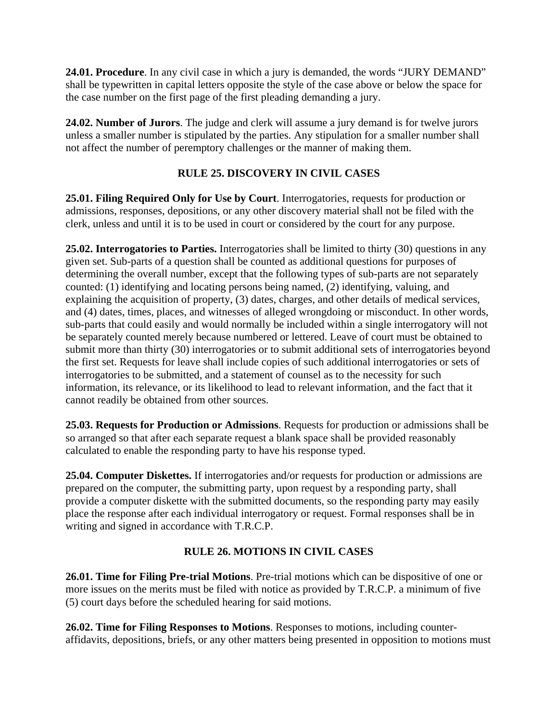**24.01. Procedure**. In any civil case in which a jury is demanded, the words "JURY DEMAND" shall be typewritten in capital letters opposite the style of the case above or below the space for the case number on the first page of the first pleading demanding a jury.

**24.02. Number of Jurors**. The judge and clerk will assume a jury demand is for twelve jurors unless a smaller number is stipulated by the parties. Any stipulation for a smaller number shall not affect the number of peremptory challenges or the manner of making them.

# **RULE 25. DISCOVERY IN CIVIL CASES**

**25.01. Filing Required Only for Use by Court**. Interrogatories, requests for production or admissions, responses, depositions, or any other discovery material shall not be filed with the clerk, unless and until it is to be used in court or considered by the court for any purpose.

**25.02. Interrogatories to Parties.** Interrogatories shall be limited to thirty (30) questions in any given set. Sub-parts of a question shall be counted as additional questions for purposes of determining the overall number, except that the following types of sub-parts are not separately counted: (1) identifying and locating persons being named, (2) identifying, valuing, and explaining the acquisition of property, (3) dates, charges, and other details of medical services, and (4) dates, times, places, and witnesses of alleged wrongdoing or misconduct. In other words, sub-parts that could easily and would normally be included within a single interrogatory will not be separately counted merely because numbered or lettered. Leave of court must be obtained to submit more than thirty (30) interrogatories or to submit additional sets of interrogatories beyond the first set. Requests for leave shall include copies of such additional interrogatories or sets of interrogatories to be submitted, and a statement of counsel as to the necessity for such information, its relevance, or its likelihood to lead to relevant information, and the fact that it cannot readily be obtained from other sources.

**25.03. Requests for Production or Admissions**. Requests for production or admissions shall be so arranged so that after each separate request a blank space shall be provided reasonably calculated to enable the responding party to have his response typed.

**25.04. Computer Diskettes.** If interrogatories and/or requests for production or admissions are prepared on the computer, the submitting party, upon request by a responding party, shall provide a computer diskette with the submitted documents, so the responding party may easily place the response after each individual interrogatory or request. Formal responses shall be in writing and signed in accordance with T.R.C.P.

# **RULE 26. MOTIONS IN CIVIL CASES**

**26.01. Time for Filing Pre-trial Motions**. Pre-trial motions which can be dispositive of one or more issues on the merits must be filed with notice as provided by T.R.C.P. a minimum of five (5) court days before the scheduled hearing for said motions.

**26.02. Time for Filing Responses to Motions**. Responses to motions, including counteraffidavits, depositions, briefs, or any other matters being presented in opposition to motions must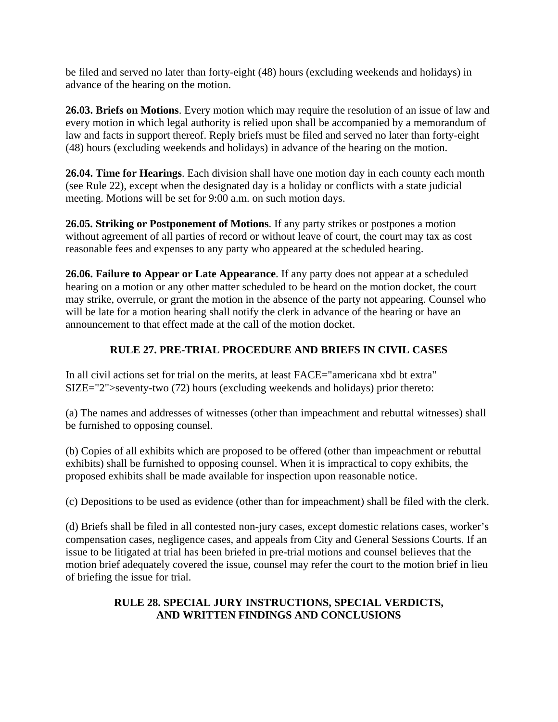be filed and served no later than forty-eight (48) hours (excluding weekends and holidays) in advance of the hearing on the motion.

**26.03. Briefs on Motions**. Every motion which may require the resolution of an issue of law and every motion in which legal authority is relied upon shall be accompanied by a memorandum of law and facts in support thereof. Reply briefs must be filed and served no later than forty-eight (48) hours (excluding weekends and holidays) in advance of the hearing on the motion.

**26.04. Time for Hearings**. Each division shall have one motion day in each county each month (see Rule 22), except when the designated day is a holiday or conflicts with a state judicial meeting. Motions will be set for 9:00 a.m. on such motion days.

**26.05. Striking or Postponement of Motions**. If any party strikes or postpones a motion without agreement of all parties of record or without leave of court, the court may tax as cost reasonable fees and expenses to any party who appeared at the scheduled hearing.

**26.06. Failure to Appear or Late Appearance**. If any party does not appear at a scheduled hearing on a motion or any other matter scheduled to be heard on the motion docket, the court may strike, overrule, or grant the motion in the absence of the party not appearing. Counsel who will be late for a motion hearing shall notify the clerk in advance of the hearing or have an announcement to that effect made at the call of the motion docket.

## **RULE 27. PRE-TRIAL PROCEDURE AND BRIEFS IN CIVIL CASES**

In all civil actions set for trial on the merits, at least FACE="americana xbd bt extra" SIZE="2">seventy-two (72) hours (excluding weekends and holidays) prior thereto:

(a) The names and addresses of witnesses (other than impeachment and rebuttal witnesses) shall be furnished to opposing counsel.

(b) Copies of all exhibits which are proposed to be offered (other than impeachment or rebuttal exhibits) shall be furnished to opposing counsel. When it is impractical to copy exhibits, the proposed exhibits shall be made available for inspection upon reasonable notice.

(c) Depositions to be used as evidence (other than for impeachment) shall be filed with the clerk.

(d) Briefs shall be filed in all contested non-jury cases, except domestic relations cases, worker's compensation cases, negligence cases, and appeals from City and General Sessions Courts. If an issue to be litigated at trial has been briefed in pre-trial motions and counsel believes that the motion brief adequately covered the issue, counsel may refer the court to the motion brief in lieu of briefing the issue for trial.

### **RULE 28. SPECIAL JURY INSTRUCTIONS, SPECIAL VERDICTS, AND WRITTEN FINDINGS AND CONCLUSIONS**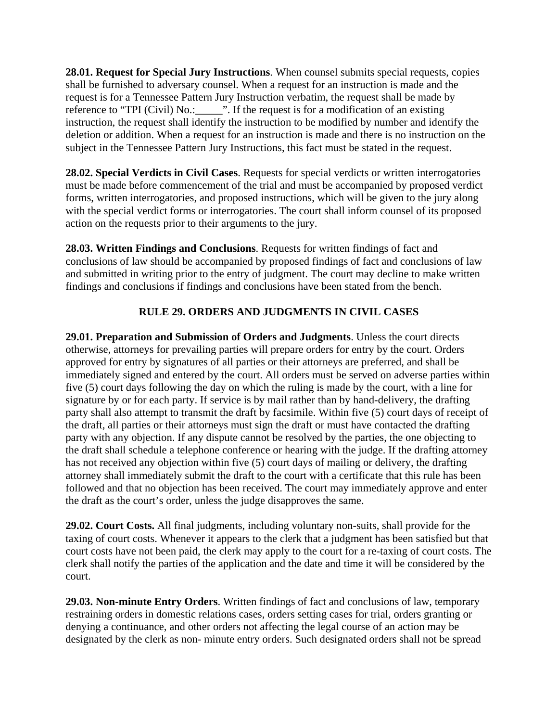**28.01. Request for Special Jury Instructions**. When counsel submits special requests, copies shall be furnished to adversary counsel. When a request for an instruction is made and the request is for a Tennessee Pattern Jury Instruction verbatim, the request shall be made by reference to "TPI (Civil) No.: \_\_\_\_\_\_". If the request is for a modification of an existing instruction, the request shall identify the instruction to be modified by number and identify the deletion or addition. When a request for an instruction is made and there is no instruction on the subject in the Tennessee Pattern Jury Instructions, this fact must be stated in the request.

**28.02. Special Verdicts in Civil Cases**. Requests for special verdicts or written interrogatories must be made before commencement of the trial and must be accompanied by proposed verdict forms, written interrogatories, and proposed instructions, which will be given to the jury along with the special verdict forms or interrogatories. The court shall inform counsel of its proposed action on the requests prior to their arguments to the jury.

**28.03. Written Findings and Conclusions**. Requests for written findings of fact and conclusions of law should be accompanied by proposed findings of fact and conclusions of law and submitted in writing prior to the entry of judgment. The court may decline to make written findings and conclusions if findings and conclusions have been stated from the bench.

## **RULE 29. ORDERS AND JUDGMENTS IN CIVIL CASES**

**29.01. Preparation and Submission of Orders and Judgments**. Unless the court directs otherwise, attorneys for prevailing parties will prepare orders for entry by the court. Orders approved for entry by signatures of all parties or their attorneys are preferred, and shall be immediately signed and entered by the court. All orders must be served on adverse parties within five (5) court days following the day on which the ruling is made by the court, with a line for signature by or for each party. If service is by mail rather than by hand-delivery, the drafting party shall also attempt to transmit the draft by facsimile. Within five (5) court days of receipt of the draft, all parties or their attorneys must sign the draft or must have contacted the drafting party with any objection. If any dispute cannot be resolved by the parties, the one objecting to the draft shall schedule a telephone conference or hearing with the judge. If the drafting attorney has not received any objection within five (5) court days of mailing or delivery, the drafting attorney shall immediately submit the draft to the court with a certificate that this rule has been followed and that no objection has been received. The court may immediately approve and enter the draft as the court's order, unless the judge disapproves the same.

**29.02. Court Costs.** All final judgments, including voluntary non-suits, shall provide for the taxing of court costs. Whenever it appears to the clerk that a judgment has been satisfied but that court costs have not been paid, the clerk may apply to the court for a re-taxing of court costs. The clerk shall notify the parties of the application and the date and time it will be considered by the court.

**29.03. Non-minute Entry Orders**. Written findings of fact and conclusions of law, temporary restraining orders in domestic relations cases, orders setting cases for trial, orders granting or denying a continuance, and other orders not affecting the legal course of an action may be designated by the clerk as non- minute entry orders. Such designated orders shall not be spread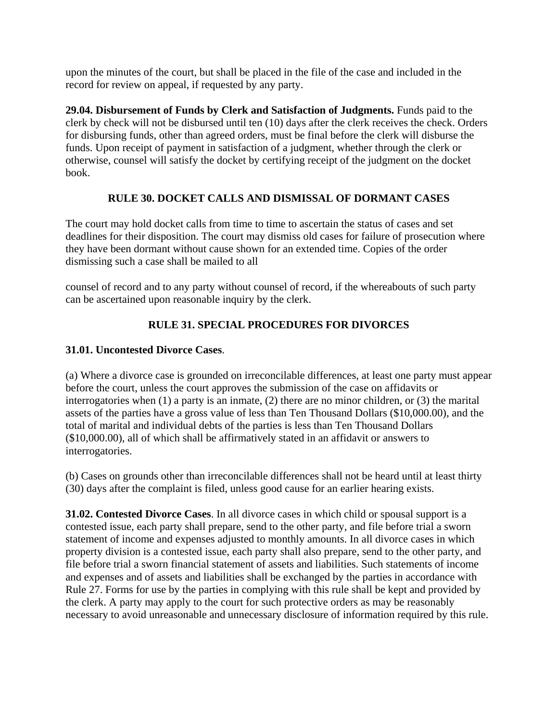upon the minutes of the court, but shall be placed in the file of the case and included in the record for review on appeal, if requested by any party.

**29.04. Disbursement of Funds by Clerk and Satisfaction of Judgments.** Funds paid to the clerk by check will not be disbursed until ten (10) days after the clerk receives the check. Orders for disbursing funds, other than agreed orders, must be final before the clerk will disburse the funds. Upon receipt of payment in satisfaction of a judgment, whether through the clerk or otherwise, counsel will satisfy the docket by certifying receipt of the judgment on the docket book.

### **RULE 30. DOCKET CALLS AND DISMISSAL OF DORMANT CASES**

The court may hold docket calls from time to time to ascertain the status of cases and set deadlines for their disposition. The court may dismiss old cases for failure of prosecution where they have been dormant without cause shown for an extended time. Copies of the order dismissing such a case shall be mailed to all

counsel of record and to any party without counsel of record, if the whereabouts of such party can be ascertained upon reasonable inquiry by the clerk.

## **RULE 31. SPECIAL PROCEDURES FOR DIVORCES**

#### **31.01. Uncontested Divorce Cases**.

(a) Where a divorce case is grounded on irreconcilable differences, at least one party must appear before the court, unless the court approves the submission of the case on affidavits or interrogatories when (1) a party is an inmate, (2) there are no minor children, or (3) the marital assets of the parties have a gross value of less than Ten Thousand Dollars (\$10,000.00), and the total of marital and individual debts of the parties is less than Ten Thousand Dollars (\$10,000.00), all of which shall be affirmatively stated in an affidavit or answers to interrogatories.

(b) Cases on grounds other than irreconcilable differences shall not be heard until at least thirty (30) days after the complaint is filed, unless good cause for an earlier hearing exists.

**31.02. Contested Divorce Cases**. In all divorce cases in which child or spousal support is a contested issue, each party shall prepare, send to the other party, and file before trial a sworn statement of income and expenses adjusted to monthly amounts. In all divorce cases in which property division is a contested issue, each party shall also prepare, send to the other party, and file before trial a sworn financial statement of assets and liabilities. Such statements of income and expenses and of assets and liabilities shall be exchanged by the parties in accordance with Rule 27. Forms for use by the parties in complying with this rule shall be kept and provided by the clerk. A party may apply to the court for such protective orders as may be reasonably necessary to avoid unreasonable and unnecessary disclosure of information required by this rule.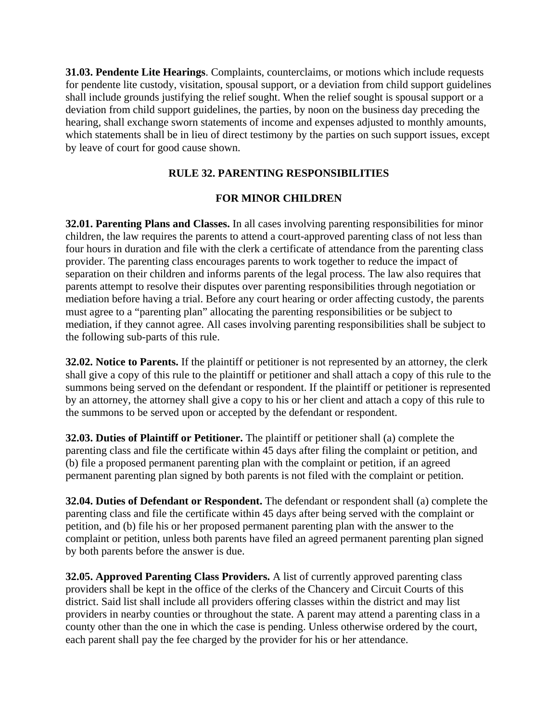**31.03. Pendente Lite Hearings**. Complaints, counterclaims, or motions which include requests for pendente lite custody, visitation, spousal support, or a deviation from child support guidelines shall include grounds justifying the relief sought. When the relief sought is spousal support or a deviation from child support guidelines, the parties, by noon on the business day preceding the hearing, shall exchange sworn statements of income and expenses adjusted to monthly amounts, which statements shall be in lieu of direct testimony by the parties on such support issues, except by leave of court for good cause shown.

### **RULE 32. PARENTING RESPONSIBILITIES**

#### **FOR MINOR CHILDREN**

**32.01. Parenting Plans and Classes.** In all cases involving parenting responsibilities for minor children, the law requires the parents to attend a court-approved parenting class of not less than four hours in duration and file with the clerk a certificate of attendance from the parenting class provider. The parenting class encourages parents to work together to reduce the impact of separation on their children and informs parents of the legal process. The law also requires that parents attempt to resolve their disputes over parenting responsibilities through negotiation or mediation before having a trial. Before any court hearing or order affecting custody, the parents must agree to a "parenting plan" allocating the parenting responsibilities or be subject to mediation, if they cannot agree. All cases involving parenting responsibilities shall be subject to the following sub-parts of this rule.

**32.02. Notice to Parents.** If the plaintiff or petitioner is not represented by an attorney, the clerk shall give a copy of this rule to the plaintiff or petitioner and shall attach a copy of this rule to the summons being served on the defendant or respondent. If the plaintiff or petitioner is represented by an attorney, the attorney shall give a copy to his or her client and attach a copy of this rule to the summons to be served upon or accepted by the defendant or respondent.

**32.03. Duties of Plaintiff or Petitioner.** The plaintiff or petitioner shall (a) complete the parenting class and file the certificate within 45 days after filing the complaint or petition, and (b) file a proposed permanent parenting plan with the complaint or petition, if an agreed permanent parenting plan signed by both parents is not filed with the complaint or petition.

**32.04. Duties of Defendant or Respondent.** The defendant or respondent shall (a) complete the parenting class and file the certificate within 45 days after being served with the complaint or petition, and (b) file his or her proposed permanent parenting plan with the answer to the complaint or petition, unless both parents have filed an agreed permanent parenting plan signed by both parents before the answer is due.

**32.05. Approved Parenting Class Providers.** A list of currently approved parenting class providers shall be kept in the office of the clerks of the Chancery and Circuit Courts of this district. Said list shall include all providers offering classes within the district and may list providers in nearby counties or throughout the state. A parent may attend a parenting class in a county other than the one in which the case is pending. Unless otherwise ordered by the court, each parent shall pay the fee charged by the provider for his or her attendance.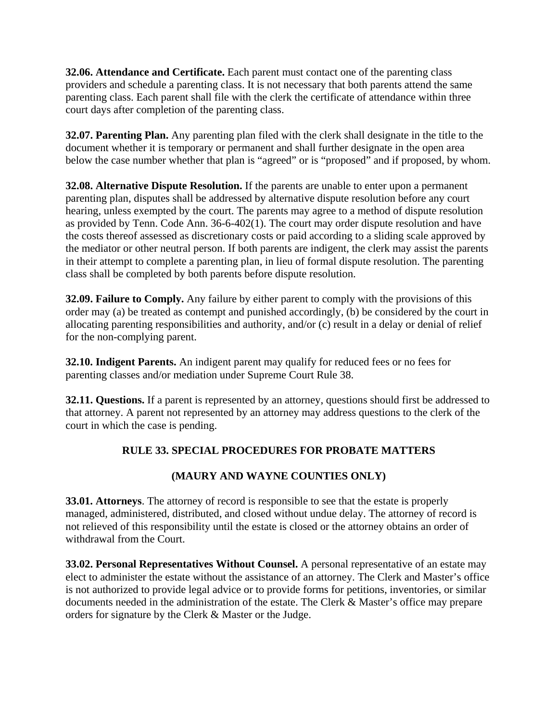**32.06. Attendance and Certificate.** Each parent must contact one of the parenting class providers and schedule a parenting class. It is not necessary that both parents attend the same parenting class. Each parent shall file with the clerk the certificate of attendance within three court days after completion of the parenting class.

**32.07. Parenting Plan.** Any parenting plan filed with the clerk shall designate in the title to the document whether it is temporary or permanent and shall further designate in the open area below the case number whether that plan is "agreed" or is "proposed" and if proposed, by whom.

**32.08. Alternative Dispute Resolution.** If the parents are unable to enter upon a permanent parenting plan, disputes shall be addressed by alternative dispute resolution before any court hearing, unless exempted by the court. The parents may agree to a method of dispute resolution as provided by Tenn. Code Ann. 36-6-402(1). The court may order dispute resolution and have the costs thereof assessed as discretionary costs or paid according to a sliding scale approved by the mediator or other neutral person. If both parents are indigent, the clerk may assist the parents in their attempt to complete a parenting plan, in lieu of formal dispute resolution. The parenting class shall be completed by both parents before dispute resolution.

**32.09. Failure to Comply.** Any failure by either parent to comply with the provisions of this order may (a) be treated as contempt and punished accordingly, (b) be considered by the court in allocating parenting responsibilities and authority, and/or (c) result in a delay or denial of relief for the non-complying parent.

**32.10. Indigent Parents.** An indigent parent may qualify for reduced fees or no fees for parenting classes and/or mediation under Supreme Court Rule 38.

**32.11. Questions.** If a parent is represented by an attorney, questions should first be addressed to that attorney. A parent not represented by an attorney may address questions to the clerk of the court in which the case is pending.

## **RULE 33. SPECIAL PROCEDURES FOR PROBATE MATTERS**

## **(MAURY AND WAYNE COUNTIES ONLY)**

**33.01. Attorneys**. The attorney of record is responsible to see that the estate is properly managed, administered, distributed, and closed without undue delay. The attorney of record is not relieved of this responsibility until the estate is closed or the attorney obtains an order of withdrawal from the Court.

**33.02. Personal Representatives Without Counsel.** A personal representative of an estate may elect to administer the estate without the assistance of an attorney. The Clerk and Master's office is not authorized to provide legal advice or to provide forms for petitions, inventories, or similar documents needed in the administration of the estate. The Clerk & Master's office may prepare orders for signature by the Clerk & Master or the Judge.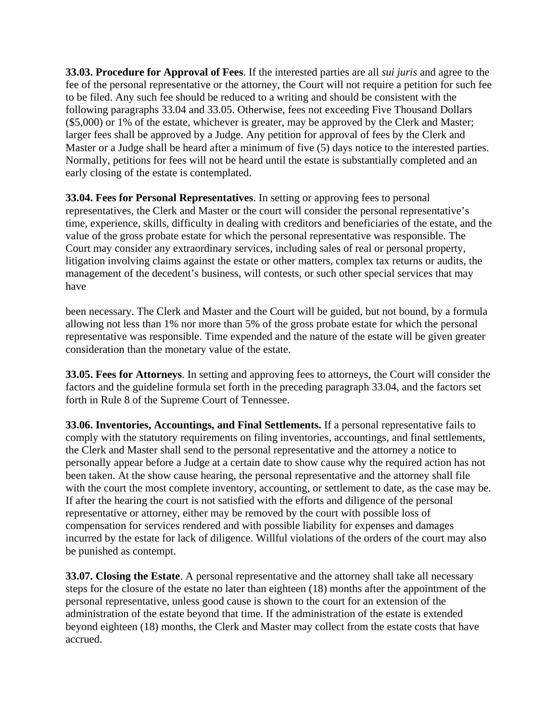**33.03. Procedure for Approval of Fees**. If the interested parties are all *sui juris* and agree to the fee of the personal representative or the attorney, the Court will not require a petition for such fee to be filed. Any such fee should be reduced to a writing and should be consistent with the following paragraphs 33.04 and 33.05. Otherwise, fees not exceeding Five Thousand Dollars (\$5,000) or 1% of the estate, whichever is greater, may be approved by the Clerk and Master; larger fees shall be approved by a Judge. Any petition for approval of fees by the Clerk and Master or a Judge shall be heard after a minimum of five (5) days notice to the interested parties. Normally, petitions for fees will not be heard until the estate is substantially completed and an early closing of the estate is contemplated.

**33.04. Fees for Personal Representatives**. In setting or approving fees to personal representatives, the Clerk and Master or the court will consider the personal representative's time, experience, skills, difficulty in dealing with creditors and beneficiaries of the estate, and the value of the gross probate estate for which the personal representative was responsible. The Court may consider any extraordinary services, including sales of real or personal property, litigation involving claims against the estate or other matters, complex tax returns or audits, the management of the decedent's business, will contests, or such other special services that may have

been necessary. The Clerk and Master and the Court will be guided, but not bound, by a formula allowing not less than 1% nor more than 5% of the gross probate estate for which the personal representative was responsible. Time expended and the nature of the estate will be given greater consideration than the monetary value of the estate.

**33.05. Fees for Attorneys**. In setting and approving fees to attorneys, the Court will consider the factors and the guideline formula set forth in the preceding paragraph 33.04, and the factors set forth in Rule 8 of the Supreme Court of Tennessee.

**33.06. Inventories, Accountings, and Final Settlements.** If a personal representative fails to comply with the statutory requirements on filing inventories, accountings, and final settlements, the Clerk and Master shall send to the personal representative and the attorney a notice to personally appear before a Judge at a certain date to show cause why the required action has not been taken. At the show cause hearing, the personal representative and the attorney shall file with the court the most complete inventory, accounting, or settlement to date, as the case may be. If after the hearing the court is not satisfied with the efforts and diligence of the personal representative or attorney, either may be removed by the court with possible loss of compensation for services rendered and with possible liability for expenses and damages incurred by the estate for lack of diligence. Willful violations of the orders of the court may also be punished as contempt.

**33.07. Closing the Estate**. A personal representative and the attorney shall take all necessary steps for the closure of the estate no later than eighteen (18) months after the appointment of the personal representative, unless good cause is shown to the court for an extension of the administration of the estate beyond that time. If the administration of the estate is extended beyond eighteen (18) months, the Clerk and Master may collect from the estate costs that have accrued.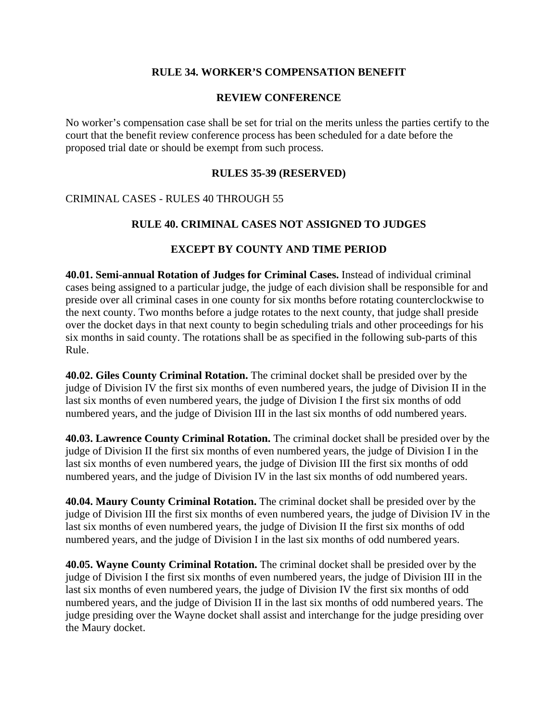#### **RULE 34. WORKER'S COMPENSATION BENEFIT**

#### **REVIEW CONFERENCE**

No worker's compensation case shall be set for trial on the merits unless the parties certify to the court that the benefit review conference process has been scheduled for a date before the proposed trial date or should be exempt from such process.

#### **RULES 35-39 (RESERVED)**

#### CRIMINAL CASES - RULES 40 THROUGH 55

#### **RULE 40. CRIMINAL CASES NOT ASSIGNED TO JUDGES**

#### **EXCEPT BY COUNTY AND TIME PERIOD**

**40.01. Semi-annual Rotation of Judges for Criminal Cases.** Instead of individual criminal cases being assigned to a particular judge, the judge of each division shall be responsible for and preside over all criminal cases in one county for six months before rotating counterclockwise to the next county. Two months before a judge rotates to the next county, that judge shall preside over the docket days in that next county to begin scheduling trials and other proceedings for his six months in said county. The rotations shall be as specified in the following sub-parts of this Rule.

**40.02. Giles County Criminal Rotation.** The criminal docket shall be presided over by the judge of Division IV the first six months of even numbered years, the judge of Division II in the last six months of even numbered years, the judge of Division I the first six months of odd numbered years, and the judge of Division III in the last six months of odd numbered years.

**40.03. Lawrence County Criminal Rotation.** The criminal docket shall be presided over by the judge of Division II the first six months of even numbered years, the judge of Division I in the last six months of even numbered years, the judge of Division III the first six months of odd numbered years, and the judge of Division IV in the last six months of odd numbered years.

**40.04. Maury County Criminal Rotation.** The criminal docket shall be presided over by the judge of Division III the first six months of even numbered years, the judge of Division IV in the last six months of even numbered years, the judge of Division II the first six months of odd numbered years, and the judge of Division I in the last six months of odd numbered years.

**40.05. Wayne County Criminal Rotation.** The criminal docket shall be presided over by the judge of Division I the first six months of even numbered years, the judge of Division III in the last six months of even numbered years, the judge of Division IV the first six months of odd numbered years, and the judge of Division II in the last six months of odd numbered years. The judge presiding over the Wayne docket shall assist and interchange for the judge presiding over the Maury docket.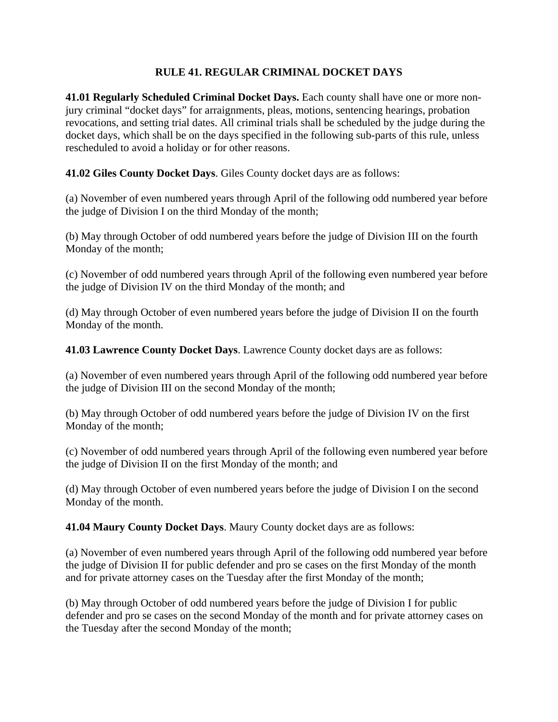### **RULE 41. REGULAR CRIMINAL DOCKET DAYS**

**41.01 Regularly Scheduled Criminal Docket Days.** Each county shall have one or more nonjury criminal "docket days" for arraignments, pleas, motions, sentencing hearings, probation revocations, and setting trial dates. All criminal trials shall be scheduled by the judge during the docket days, which shall be on the days specified in the following sub-parts of this rule, unless rescheduled to avoid a holiday or for other reasons.

**41.02 Giles County Docket Days**. Giles County docket days are as follows:

(a) November of even numbered years through April of the following odd numbered year before the judge of Division I on the third Monday of the month;

(b) May through October of odd numbered years before the judge of Division III on the fourth Monday of the month;

(c) November of odd numbered years through April of the following even numbered year before the judge of Division IV on the third Monday of the month; and

(d) May through October of even numbered years before the judge of Division II on the fourth Monday of the month.

**41.03 Lawrence County Docket Days**. Lawrence County docket days are as follows:

(a) November of even numbered years through April of the following odd numbered year before the judge of Division III on the second Monday of the month;

(b) May through October of odd numbered years before the judge of Division IV on the first Monday of the month;

(c) November of odd numbered years through April of the following even numbered year before the judge of Division II on the first Monday of the month; and

(d) May through October of even numbered years before the judge of Division I on the second Monday of the month.

**41.04 Maury County Docket Days**. Maury County docket days are as follows:

(a) November of even numbered years through April of the following odd numbered year before the judge of Division II for public defender and pro se cases on the first Monday of the month and for private attorney cases on the Tuesday after the first Monday of the month;

(b) May through October of odd numbered years before the judge of Division I for public defender and pro se cases on the second Monday of the month and for private attorney cases on the Tuesday after the second Monday of the month;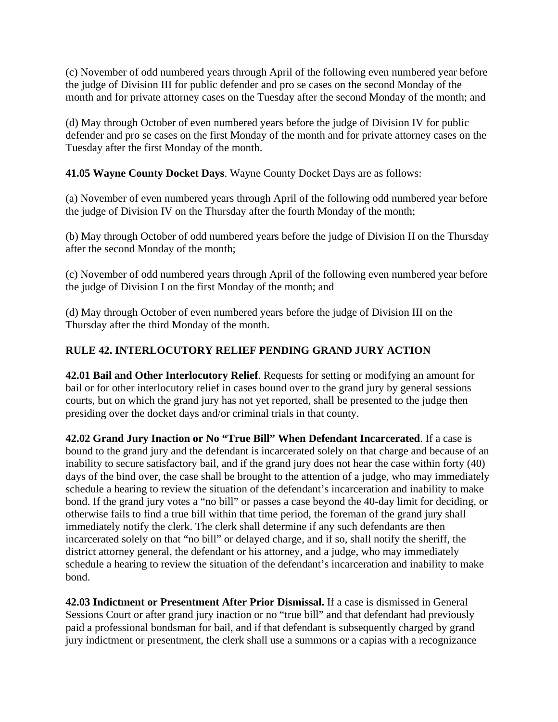(c) November of odd numbered years through April of the following even numbered year before the judge of Division III for public defender and pro se cases on the second Monday of the month and for private attorney cases on the Tuesday after the second Monday of the month; and

(d) May through October of even numbered years before the judge of Division IV for public defender and pro se cases on the first Monday of the month and for private attorney cases on the Tuesday after the first Monday of the month.

**41.05 Wayne County Docket Days**. Wayne County Docket Days are as follows:

(a) November of even numbered years through April of the following odd numbered year before the judge of Division IV on the Thursday after the fourth Monday of the month;

(b) May through October of odd numbered years before the judge of Division II on the Thursday after the second Monday of the month;

(c) November of odd numbered years through April of the following even numbered year before the judge of Division I on the first Monday of the month; and

(d) May through October of even numbered years before the judge of Division III on the Thursday after the third Monday of the month.

# **RULE 42. INTERLOCUTORY RELIEF PENDING GRAND JURY ACTION**

**42.01 Bail and Other Interlocutory Relief**. Requests for setting or modifying an amount for bail or for other interlocutory relief in cases bound over to the grand jury by general sessions courts, but on which the grand jury has not yet reported, shall be presented to the judge then presiding over the docket days and/or criminal trials in that county.

**42.02 Grand Jury Inaction or No "True Bill" When Defendant Incarcerated**. If a case is bound to the grand jury and the defendant is incarcerated solely on that charge and because of an inability to secure satisfactory bail, and if the grand jury does not hear the case within forty (40) days of the bind over, the case shall be brought to the attention of a judge, who may immediately schedule a hearing to review the situation of the defendant's incarceration and inability to make bond. If the grand jury votes a "no bill" or passes a case beyond the 40-day limit for deciding, or otherwise fails to find a true bill within that time period, the foreman of the grand jury shall immediately notify the clerk. The clerk shall determine if any such defendants are then incarcerated solely on that "no bill" or delayed charge, and if so, shall notify the sheriff, the district attorney general, the defendant or his attorney, and a judge, who may immediately schedule a hearing to review the situation of the defendant's incarceration and inability to make bond.

**42.03 Indictment or Presentment After Prior Dismissal.** If a case is dismissed in General Sessions Court or after grand jury inaction or no "true bill" and that defendant had previously paid a professional bondsman for bail, and if that defendant is subsequently charged by grand jury indictment or presentment, the clerk shall use a summons or a capias with a recognizance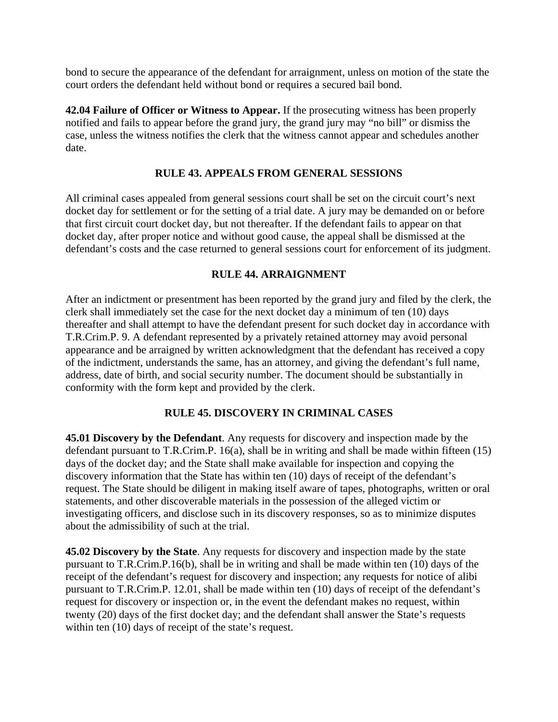bond to secure the appearance of the defendant for arraignment, unless on motion of the state the court orders the defendant held without bond or requires a secured bail bond.

**42.04 Failure of Officer or Witness to Appear.** If the prosecuting witness has been properly notified and fails to appear before the grand jury, the grand jury may "no bill" or dismiss the case, unless the witness notifies the clerk that the witness cannot appear and schedules another date.

#### **RULE 43. APPEALS FROM GENERAL SESSIONS**

All criminal cases appealed from general sessions court shall be set on the circuit court's next docket day for settlement or for the setting of a trial date. A jury may be demanded on or before that first circuit court docket day, but not thereafter. If the defendant fails to appear on that docket day, after proper notice and without good cause, the appeal shall be dismissed at the defendant's costs and the case returned to general sessions court for enforcement of its judgment.

#### **RULE 44. ARRAIGNMENT**

After an indictment or presentment has been reported by the grand jury and filed by the clerk, the clerk shall immediately set the case for the next docket day a minimum of ten (10) days thereafter and shall attempt to have the defendant present for such docket day in accordance with T.R.Crim.P. 9. A defendant represented by a privately retained attorney may avoid personal appearance and be arraigned by written acknowledgment that the defendant has received a copy of the indictment, understands the same, has an attorney, and giving the defendant's full name, address, date of birth, and social security number. The document should be substantially in conformity with the form kept and provided by the clerk.

#### **RULE 45. DISCOVERY IN CRIMINAL CASES**

**45.01 Discovery by the Defendant**. Any requests for discovery and inspection made by the defendant pursuant to T.R.Crim.P. 16(a), shall be in writing and shall be made within fifteen (15) days of the docket day; and the State shall make available for inspection and copying the discovery information that the State has within ten (10) days of receipt of the defendant's request. The State should be diligent in making itself aware of tapes, photographs, written or oral statements, and other discoverable materials in the possession of the alleged victim or investigating officers, and disclose such in its discovery responses, so as to minimize disputes about the admissibility of such at the trial.

**45.02 Discovery by the State**. Any requests for discovery and inspection made by the state pursuant to T.R.Crim.P.16(b), shall be in writing and shall be made within ten (10) days of the receipt of the defendant's request for discovery and inspection; any requests for notice of alibi pursuant to T.R.Crim.P. 12.01, shall be made within ten (10) days of receipt of the defendant's request for discovery or inspection or, in the event the defendant makes no request, within twenty (20) days of the first docket day; and the defendant shall answer the State's requests within ten (10) days of receipt of the state's request.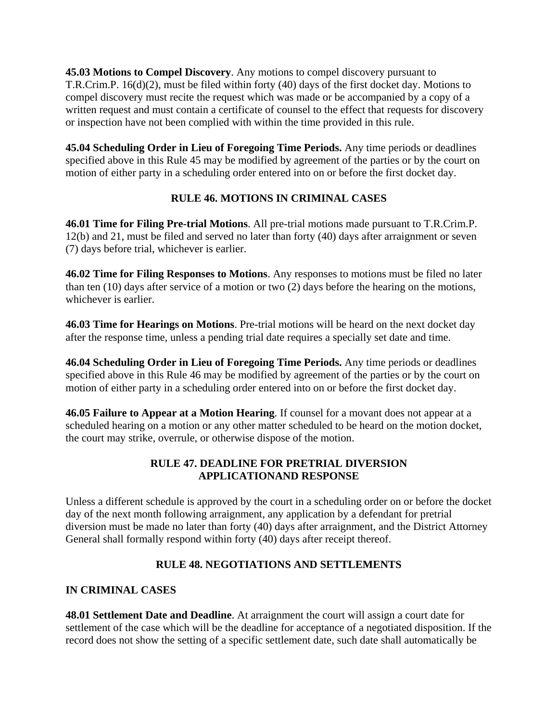**45.03 Motions to Compel Discovery**. Any motions to compel discovery pursuant to T.R.Crim.P. 16(d)(2), must be filed within forty (40) days of the first docket day. Motions to compel discovery must recite the request which was made or be accompanied by a copy of a written request and must contain a certificate of counsel to the effect that requests for discovery or inspection have not been complied with within the time provided in this rule.

**45.04 Scheduling Order in Lieu of Foregoing Time Periods.** Any time periods or deadlines specified above in this Rule 45 may be modified by agreement of the parties or by the court on motion of either party in a scheduling order entered into on or before the first docket day.

## **RULE 46. MOTIONS IN CRIMINAL CASES**

**46.01 Time for Filing Pre-trial Motions**. All pre-trial motions made pursuant to T.R.Crim.P. 12(b) and 21, must be filed and served no later than forty (40) days after arraignment or seven (7) days before trial, whichever is earlier.

**46.02 Time for Filing Responses to Motions**. Any responses to motions must be filed no later than ten (10) days after service of a motion or two (2) days before the hearing on the motions, whichever is earlier.

**46.03 Time for Hearings on Motions**. Pre-trial motions will be heard on the next docket day after the response time, unless a pending trial date requires a specially set date and time.

**46.04 Scheduling Order in Lieu of Foregoing Time Periods.** Any time periods or deadlines specified above in this Rule 46 may be modified by agreement of the parties or by the court on motion of either party in a scheduling order entered into on or before the first docket day.

**46.05 Failure to Appear at a Motion Hearing**. If counsel for a movant does not appear at a scheduled hearing on a motion or any other matter scheduled to be heard on the motion docket, the court may strike, overrule, or otherwise dispose of the motion.

## **RULE 47. DEADLINE FOR PRETRIAL DIVERSION APPLICATIONAND RESPONSE**

Unless a different schedule is approved by the court in a scheduling order on or before the docket day of the next month following arraignment, any application by a defendant for pretrial diversion must be made no later than forty (40) days after arraignment, and the District Attorney General shall formally respond within forty (40) days after receipt thereof.

# **RULE 48. NEGOTIATIONS AND SETTLEMENTS**

## **IN CRIMINAL CASES**

**48.01 Settlement Date and Deadline**. At arraignment the court will assign a court date for settlement of the case which will be the deadline for acceptance of a negotiated disposition. If the record does not show the setting of a specific settlement date, such date shall automatically be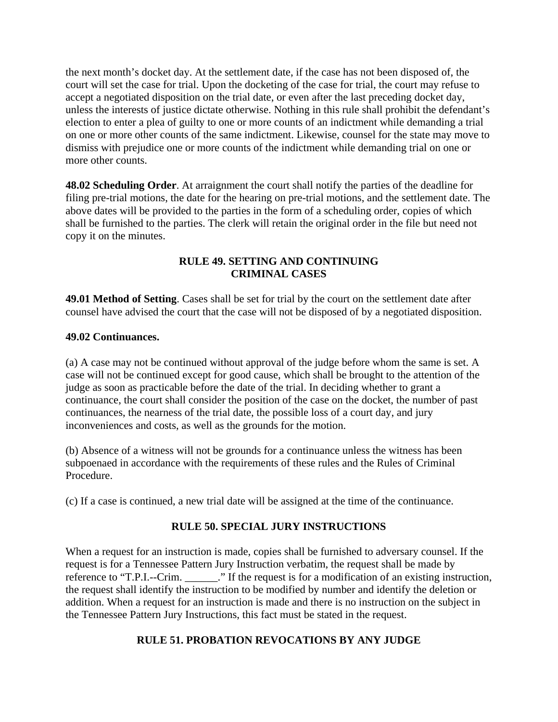the next month's docket day. At the settlement date, if the case has not been disposed of, the court will set the case for trial. Upon the docketing of the case for trial, the court may refuse to accept a negotiated disposition on the trial date, or even after the last preceding docket day, unless the interests of justice dictate otherwise. Nothing in this rule shall prohibit the defendant's election to enter a plea of guilty to one or more counts of an indictment while demanding a trial on one or more other counts of the same indictment. Likewise, counsel for the state may move to dismiss with prejudice one or more counts of the indictment while demanding trial on one or more other counts.

**48.02 Scheduling Order**. At arraignment the court shall notify the parties of the deadline for filing pre-trial motions, the date for the hearing on pre-trial motions, and the settlement date. The above dates will be provided to the parties in the form of a scheduling order, copies of which shall be furnished to the parties. The clerk will retain the original order in the file but need not copy it on the minutes.

### **RULE 49. SETTING AND CONTINUING CRIMINAL CASES**

**49.01 Method of Setting**. Cases shall be set for trial by the court on the settlement date after counsel have advised the court that the case will not be disposed of by a negotiated disposition.

#### **49.02 Continuances.**

(a) A case may not be continued without approval of the judge before whom the same is set. A case will not be continued except for good cause, which shall be brought to the attention of the judge as soon as practicable before the date of the trial. In deciding whether to grant a continuance, the court shall consider the position of the case on the docket, the number of past continuances, the nearness of the trial date, the possible loss of a court day, and jury inconveniences and costs, as well as the grounds for the motion.

(b) Absence of a witness will not be grounds for a continuance unless the witness has been subpoenaed in accordance with the requirements of these rules and the Rules of Criminal Procedure.

(c) If a case is continued, a new trial date will be assigned at the time of the continuance.

## **RULE 50. SPECIAL JURY INSTRUCTIONS**

When a request for an instruction is made, copies shall be furnished to adversary counsel. If the request is for a Tennessee Pattern Jury Instruction verbatim, the request shall be made by reference to "T.P.I.--Crim. <br>  $\therefore$  If the request is for a modification of an existing instruction, the request shall identify the instruction to be modified by number and identify the deletion or addition. When a request for an instruction is made and there is no instruction on the subject in the Tennessee Pattern Jury Instructions, this fact must be stated in the request.

#### **RULE 51. PROBATION REVOCATIONS BY ANY JUDGE**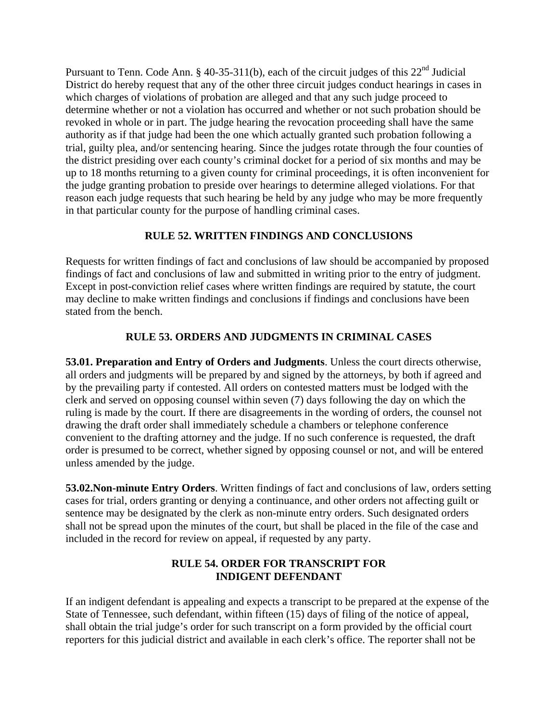Pursuant to Tenn. Code Ann. § 40-35-311(b), each of the circuit judges of this 22<sup>nd</sup> Judicial District do hereby request that any of the other three circuit judges conduct hearings in cases in which charges of violations of probation are alleged and that any such judge proceed to determine whether or not a violation has occurred and whether or not such probation should be revoked in whole or in part. The judge hearing the revocation proceeding shall have the same authority as if that judge had been the one which actually granted such probation following a trial, guilty plea, and/or sentencing hearing. Since the judges rotate through the four counties of the district presiding over each county's criminal docket for a period of six months and may be up to 18 months returning to a given county for criminal proceedings, it is often inconvenient for the judge granting probation to preside over hearings to determine alleged violations. For that reason each judge requests that such hearing be held by any judge who may be more frequently in that particular county for the purpose of handling criminal cases.

## **RULE 52. WRITTEN FINDINGS AND CONCLUSIONS**

Requests for written findings of fact and conclusions of law should be accompanied by proposed findings of fact and conclusions of law and submitted in writing prior to the entry of judgment. Except in post-conviction relief cases where written findings are required by statute, the court may decline to make written findings and conclusions if findings and conclusions have been stated from the bench.

## **RULE 53. ORDERS AND JUDGMENTS IN CRIMINAL CASES**

**53.01. Preparation and Entry of Orders and Judgments**. Unless the court directs otherwise, all orders and judgments will be prepared by and signed by the attorneys, by both if agreed and by the prevailing party if contested. All orders on contested matters must be lodged with the clerk and served on opposing counsel within seven (7) days following the day on which the ruling is made by the court. If there are disagreements in the wording of orders, the counsel not drawing the draft order shall immediately schedule a chambers or telephone conference convenient to the drafting attorney and the judge. If no such conference is requested, the draft order is presumed to be correct, whether signed by opposing counsel or not, and will be entered unless amended by the judge.

**53.02.Non-minute Entry Orders**. Written findings of fact and conclusions of law, orders setting cases for trial, orders granting or denying a continuance, and other orders not affecting guilt or sentence may be designated by the clerk as non-minute entry orders. Such designated orders shall not be spread upon the minutes of the court, but shall be placed in the file of the case and included in the record for review on appeal, if requested by any party.

#### **RULE 54. ORDER FOR TRANSCRIPT FOR INDIGENT DEFENDANT**

If an indigent defendant is appealing and expects a transcript to be prepared at the expense of the State of Tennessee, such defendant, within fifteen (15) days of filing of the notice of appeal, shall obtain the trial judge's order for such transcript on a form provided by the official court reporters for this judicial district and available in each clerk's office. The reporter shall not be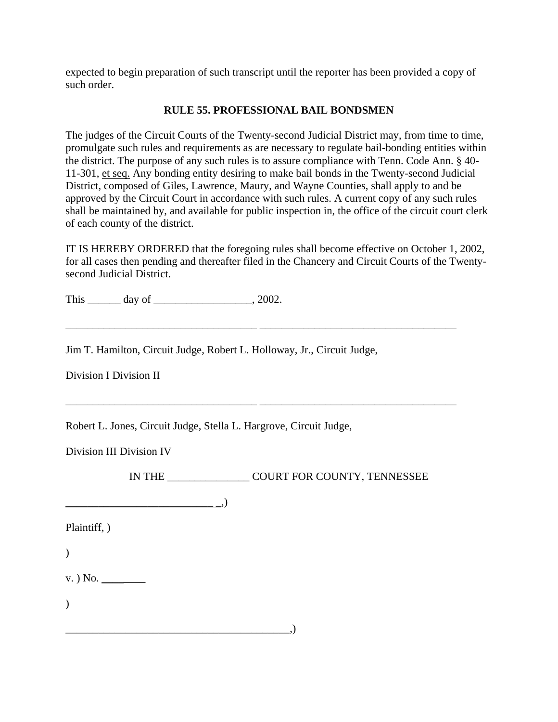expected to begin preparation of such transcript until the reporter has been provided a copy of such order.

#### **RULE 55. PROFESSIONAL BAIL BONDSMEN**

The judges of the Circuit Courts of the Twenty-second Judicial District may, from time to time, promulgate such rules and requirements as are necessary to regulate bail-bonding entities within the district. The purpose of any such rules is to assure compliance with Tenn. Code Ann. § 40- 11-301, et seq. Any bonding entity desiring to make bail bonds in the Twenty-second Judicial District, composed of Giles, Lawrence, Maury, and Wayne Counties, shall apply to and be approved by the Circuit Court in accordance with such rules. A current copy of any such rules shall be maintained by, and available for public inspection in, the office of the circuit court clerk of each county of the district.

IT IS HEREBY ORDERED that the foregoing rules shall become effective on October 1, 2002, for all cases then pending and thereafter filed in the Chancery and Circuit Courts of the Twentysecond Judicial District.

\_\_\_\_\_\_\_\_\_\_\_\_\_\_\_\_\_\_\_\_\_\_\_\_\_\_\_\_\_\_\_\_\_\_\_ \_\_\_\_\_\_\_\_\_\_\_\_\_\_\_\_\_\_\_\_\_\_\_\_\_\_\_\_\_\_\_\_\_\_\_\_

\_\_\_\_\_\_\_\_\_\_\_\_\_\_\_\_\_\_\_\_\_\_\_\_\_\_\_\_\_\_\_\_\_\_\_ \_\_\_\_\_\_\_\_\_\_\_\_\_\_\_\_\_\_\_\_\_\_\_\_\_\_\_\_\_\_\_\_\_\_\_\_

This \_\_\_\_\_\_\_ day of \_\_\_\_\_\_\_\_\_\_\_\_\_\_\_\_\_\_, 2002.

Jim T. Hamilton, Circuit Judge, Robert L. Holloway, Jr., Circuit Judge,

Division I Division II

Robert L. Jones, Circuit Judge, Stella L. Hargrove, Circuit Judge,

Division III Division IV

IN THE \_\_\_\_\_\_\_\_\_\_\_\_\_\_\_ COURT FOR COUNTY, TENNESSEE

\_\_\_\_\_\_\_\_\_\_\_\_\_\_\_\_\_\_\_\_\_\_\_\_\_\_\_ \_,)

Plaintiff, )

 $\mathcal{L}$ 

 $v.$ ) No.

 $\mathcal{L}$ 

\_\_\_\_\_\_\_\_\_\_\_\_\_\_\_\_\_\_\_\_\_\_\_\_\_\_\_\_\_\_\_\_\_\_\_\_\_\_\_\_\_,)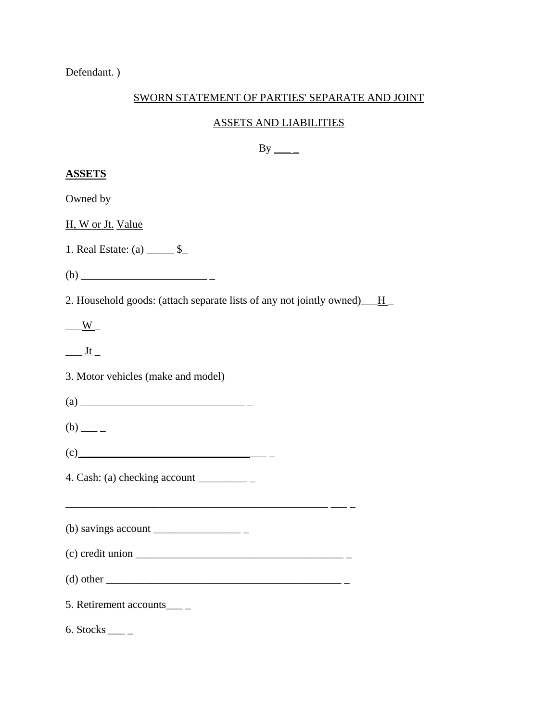Defendant. )

# SWORN STATEMENT OF PARTIES' SEPARATE AND JOINT

# ASSETS AND LIABILITIES

# $By \_\_$

| <b>ASSETS</b>                                                               |
|-----------------------------------------------------------------------------|
| Owned by                                                                    |
| H, W or Jt. Value                                                           |
| 1. Real Estate: (a) _______ \$_                                             |
|                                                                             |
| 2. Household goods: (attach separate lists of any not jointly owned) ___ H_ |
| $\frac{W}{\sqrt{1-\frac{1}{2}}}$                                            |
| $\frac{Jt}{l}$                                                              |
| 3. Motor vehicles (make and model)                                          |
|                                                                             |
| $(b)$ — –                                                                   |
|                                                                             |
| 4. Cash: (a) checking account $\frac{ }{ }$                                 |
|                                                                             |
| (b) savings account $\_\_\_\_\_\_\_\_\_\_\_\_\_$                            |
| $(c)$ credit union $\overline{\qquad \qquad }$                              |
|                                                                             |
| 5. Retirement accounts____                                                  |
| $6. \text{Stocks}$ <sub>_____</sub>                                         |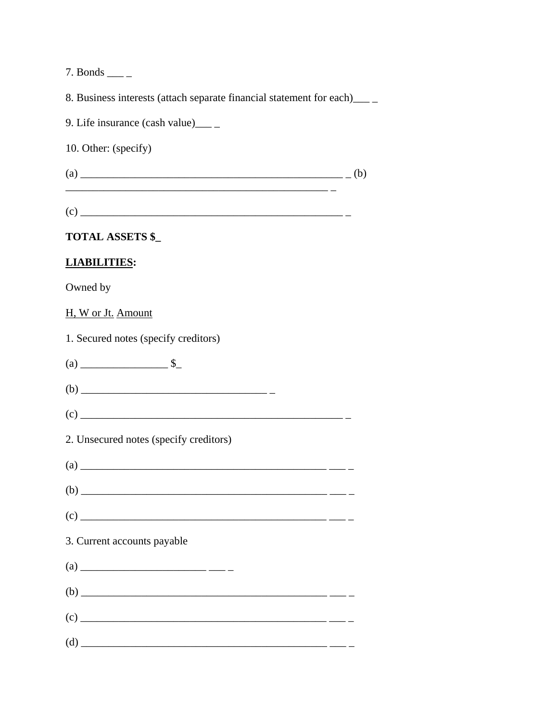7. Bonds  $\_\_$ 

8. Business interests (attach separate financial statement for each) \_\_\_\_\_

9. Life insurance (cash value) \_\_\_\_\_

10. Other: (specify)

## **TOTAL ASSETS \$\_**

# **LIABILITIES:**

Owned by

H, W or Jt. Amount

1. Secured notes (specify creditors)

2. Unsecured notes (specify creditors)

| $\left( \text{a}\right)$    |  |
|-----------------------------|--|
|                             |  |
|                             |  |
| 3. Current accounts payable |  |
|                             |  |
| $\left( b\right)$           |  |
|                             |  |
|                             |  |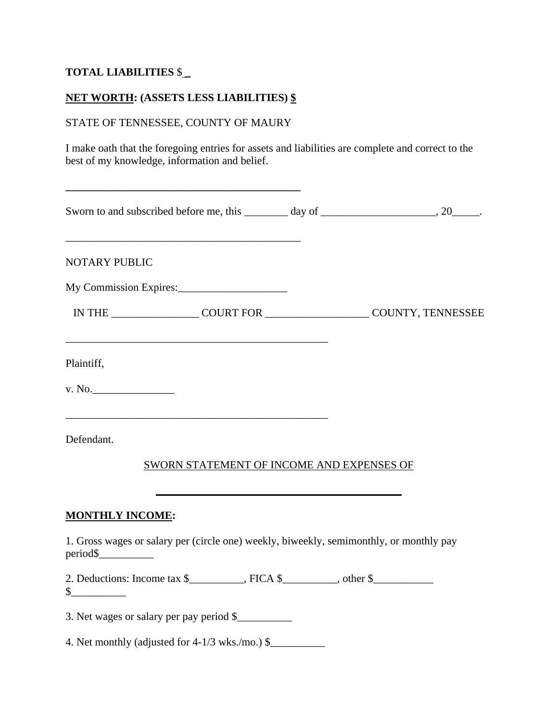# **TOTAL LIABILITIES** \$ \_

# **NET WORTH: (ASSETS LESS LIABILITIES) \$**

### STATE OF TENNESSEE, COUNTY OF MAURY

**\_\_\_\_\_\_\_\_\_\_\_\_\_\_\_\_\_\_\_\_\_\_\_\_\_\_\_\_\_\_\_\_\_\_\_\_\_\_\_\_\_\_\_** 

I make oath that the foregoing entries for assets and liabilities are complete and correct to the best of my knowledge, information and belief.

| Sworn to and subscribed before me, this ________ day of ________________________, 20_______.                                                                                     |  |
|----------------------------------------------------------------------------------------------------------------------------------------------------------------------------------|--|
| <b>NOTARY PUBLIC</b>                                                                                                                                                             |  |
| My Commission Expires:                                                                                                                                                           |  |
| IN THE COURT FOR COURT FOR COUNTY, TENNESSEE                                                                                                                                     |  |
| Plaintiff,                                                                                                                                                                       |  |
| v. No.                                                                                                                                                                           |  |
| <u> 1989 - Johann Barn, amerikan berkema di sebagai berkema di sebagai berkema di sebagai berkema di sebagai berk</u><br>Defendant.<br>SWORN STATEMENT OF INCOME AND EXPENSES OF |  |
| <b>MONTHLY INCOME:</b>                                                                                                                                                           |  |
| 1. Gross wages or salary per (circle one) weekly, biweekly, semimonthly, or monthly pay                                                                                          |  |
| 2. Deductions: Income tax $\frac{1}{2}$ , FICA $\frac{1}{2}$ , other $\frac{1}{2}$<br>$\frac{\text{S}}{\text{S}}$                                                                |  |
| 3. Net wages or salary per pay period \$                                                                                                                                         |  |
| 4. Net monthly (adjusted for 4-1/3 wks./mo.) \$                                                                                                                                  |  |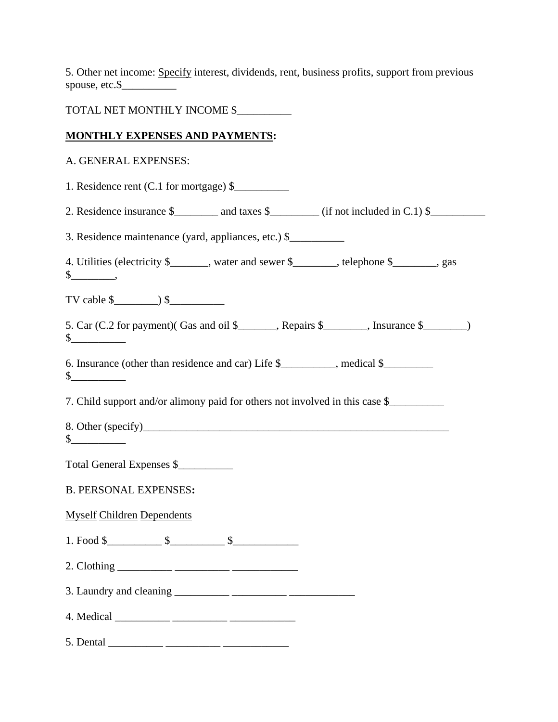5. Other net income: Specify interest, dividends, rent, business profits, support from previous spouse, etc.\$\_\_\_\_\_\_\_\_\_\_

TOTAL NET MONTHLY INCOME \$\_\_\_\_\_\_\_\_\_\_

#### **MONTHLY EXPENSES AND PAYMENTS:**

#### A. GENERAL EXPENSES:

1. Residence rent  $(C.1$  for mortgage)  $\$ 

2. Residence insurance  $\frac{1}{2}$  and taxes  $\frac{1}{2}$  (if not included in C.1)  $\frac{1}{2}$ 

3. Residence maintenance (yard, appliances, etc.) \$\_\_\_\_\_\_\_\_\_\_

4. Utilities (electricity \$\_\_\_\_\_\_, water and sewer \$\_\_\_\_\_, telephone \$\_\_\_\_\_, gas  $\S$  ,

TV cable  $\frac{1}{2}$   $\frac{1}{2}$   $\frac{1}{2}$ 

5. Car (C.2 for payment)( Gas and oil \$\_\_\_\_\_\_\_, Repairs \$\_\_\_\_\_\_\_\_, Insurance \$\_\_\_\_\_\_\_\_)  $\frac{\S_{\perp}}{\S_{\perp}}$ 

6. Insurance (other than residence and car) Life \$\_\_\_\_\_\_\_\_\_\_, medical \$\_\_\_\_\_\_\_\_\_  $\sim$ 

7. Child support and/or alimony paid for others not involved in this case \$

8. Other (specify)\_\_\_\_\_\_\_\_\_\_\_\_\_\_\_\_\_\_\_\_\_\_\_\_\_\_\_\_\_\_\_\_\_\_\_\_\_\_\_\_\_\_\_\_\_\_\_\_\_\_\_\_\_\_\_\_  $\frac{\S_{\perp}}{\S_{\perp}}$ 

Total General Expenses \$\_\_\_\_\_\_\_\_\_\_

B. PERSONAL EXPENSES**:**

Myself Children Dependents

1. Food \$ \$ \$

2. Clothing \_\_\_\_\_\_\_\_\_\_ \_\_\_\_\_\_\_\_\_\_ \_\_\_\_\_\_\_\_\_\_\_\_

3. Laundry and cleaning \_\_\_\_\_\_\_\_\_\_ \_\_\_\_\_\_\_\_\_\_ \_\_\_\_\_\_\_\_\_\_\_\_

4. Medical \_\_\_\_\_\_\_\_\_\_ \_\_\_\_\_\_\_\_\_\_ \_\_\_\_\_\_\_\_\_\_\_\_

 $5.$  Dental  $\overline{\phantom{a}}$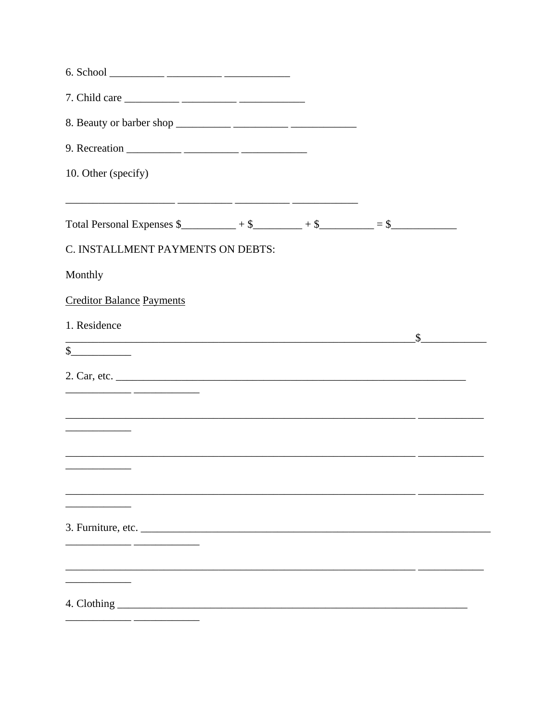| 10. Other (specify)                                                                                                                 |  |                             |
|-------------------------------------------------------------------------------------------------------------------------------------|--|-----------------------------|
| <u> 2000 - Jan James James, martin amerikan bahasa (j. 1918).</u>                                                                   |  |                             |
| Total Personal Expenses $\frac{1}{2} + \frac{1}{2}$ + $\frac{1}{2}$ + $\frac{1}{2}$ + $\frac{1}{2}$ = $\frac{1}{2}$ = $\frac{1}{2}$ |  |                             |
| C. INSTALLMENT PAYMENTS ON DEBTS:                                                                                                   |  |                             |
| Monthly                                                                                                                             |  |                             |
| <b>Creditor Balance Payments</b>                                                                                                    |  |                             |
| 1. Residence                                                                                                                        |  | $\frac{\text{S}}{\text{S}}$ |
| $\frac{1}{2}$                                                                                                                       |  |                             |
|                                                                                                                                     |  |                             |
|                                                                                                                                     |  |                             |
|                                                                                                                                     |  |                             |
|                                                                                                                                     |  |                             |
|                                                                                                                                     |  |                             |
|                                                                                                                                     |  |                             |
| 3. Furniture, etc.                                                                                                                  |  |                             |
|                                                                                                                                     |  |                             |
|                                                                                                                                     |  |                             |
|                                                                                                                                     |  |                             |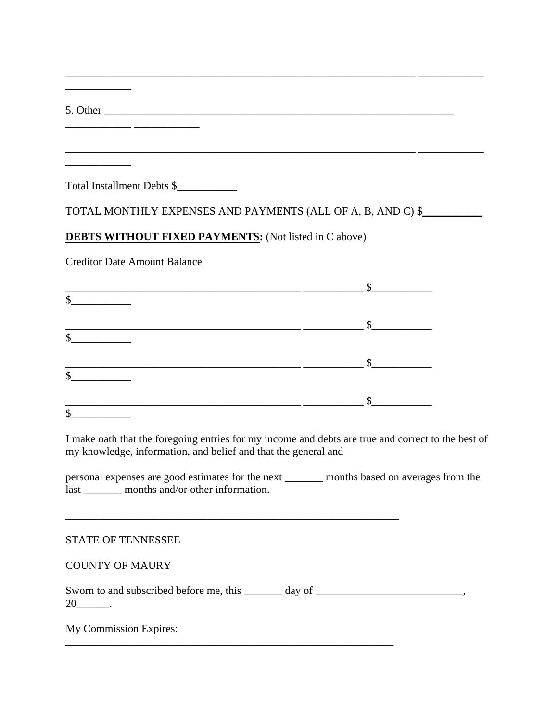\_\_\_\_\_\_\_\_\_\_\_\_ \_\_\_\_\_\_\_\_\_\_\_\_

\_\_\_\_\_\_\_\_\_\_\_\_

\_\_\_\_\_\_\_\_\_\_\_\_

Total Installment Debts \$\_\_\_\_\_\_\_\_\_\_\_

| TOTAL MONTHLY EXPENSES AND PAYMENTS (ALL OF A, B, AND C) \$_ |  |  |
|--------------------------------------------------------------|--|--|
|                                                              |  |  |

\_\_\_\_\_\_\_\_\_\_\_\_\_\_\_\_\_\_\_\_\_\_\_\_\_\_\_\_\_\_\_\_\_\_\_\_\_\_\_\_\_\_\_\_\_\_\_\_\_\_\_\_\_\_\_\_\_\_\_\_\_\_\_\_ \_\_\_\_\_\_\_\_\_\_\_\_

 $\frac{1}{2}$  , and the set of the set of the set of the set of the set of the set of the set of the set of the set of the set of the set of the set of the set of the set of the set of the set of the set of the set of the set

### **DEBTS WITHOUT FIXED PAYMENTS:** (Not listed in C above)

Creditor Date Amount Balance

| $\frac{1}{2}$ |                                                                                                                                                                                                                                                                                                                                                                                                                                                                                                                                                                                                                                                                                                                                                                                                   |
|---------------|---------------------------------------------------------------------------------------------------------------------------------------------------------------------------------------------------------------------------------------------------------------------------------------------------------------------------------------------------------------------------------------------------------------------------------------------------------------------------------------------------------------------------------------------------------------------------------------------------------------------------------------------------------------------------------------------------------------------------------------------------------------------------------------------------|
| s             | $\frac{1}{2} \left( \frac{1}{2} \right) \left( \frac{1}{2} \right) \left( \frac{1}{2} \right) \left( \frac{1}{2} \right) \left( \frac{1}{2} \right) \left( \frac{1}{2} \right) \left( \frac{1}{2} \right) \left( \frac{1}{2} \right) \left( \frac{1}{2} \right) \left( \frac{1}{2} \right) \left( \frac{1}{2} \right) \left( \frac{1}{2} \right) \left( \frac{1}{2} \right) \left( \frac{1}{2} \right) \left( \frac{1}{2} \right) \left( \frac{1}{2} \right) \left( \frac$<br>$\frac{1}{2}$ $\frac{1}{2}$ $\frac{1}{2}$ $\frac{1}{2}$ $\frac{1}{2}$ $\frac{1}{2}$ $\frac{1}{2}$ $\frac{1}{2}$ $\frac{1}{2}$ $\frac{1}{2}$ $\frac{1}{2}$ $\frac{1}{2}$ $\frac{1}{2}$ $\frac{1}{2}$ $\frac{1}{2}$ $\frac{1}{2}$ $\frac{1}{2}$ $\frac{1}{2}$ $\frac{1}{2}$ $\frac{1}{2}$ $\frac{1}{2}$ $\frac{1}{2}$ |
| $\frac{1}{2}$ | $\frac{1}{\sqrt{1-\frac{1}{2}}\left(\frac{1}{2}-\frac{1}{2}\right)}$                                                                                                                                                                                                                                                                                                                                                                                                                                                                                                                                                                                                                                                                                                                              |
| $\frac{1}{2}$ | $\sim$                                                                                                                                                                                                                                                                                                                                                                                                                                                                                                                                                                                                                                                                                                                                                                                            |

I make oath that the foregoing entries for my income and debts are true and correct to the best of my knowledge, information, and belief and that the general and

personal expenses are good estimates for the next \_\_\_\_\_\_\_ months based on averages from the last \_\_\_\_\_\_\_ months and/or other information.

\_\_\_\_\_\_\_\_\_\_\_\_\_\_\_\_\_\_\_\_\_\_\_\_\_\_\_\_\_\_\_\_\_\_\_\_\_\_\_\_\_\_\_\_\_\_\_\_\_\_\_\_\_\_\_\_\_\_\_\_\_

\_\_\_\_\_\_\_\_\_\_\_\_\_\_\_\_\_\_\_\_\_\_\_\_\_\_\_\_\_\_\_\_\_\_\_\_\_\_\_\_\_\_\_\_\_\_\_\_\_\_\_\_\_\_\_\_\_\_\_\_

#### STATE OF TENNESSEE

#### COUNTY OF MAURY

Sworn to and subscribed before me, this \_\_\_\_\_\_\_ day of \_\_\_\_\_\_\_\_\_\_\_\_\_\_\_\_\_\_\_\_\_\_\_\_\_, 20\_\_\_\_\_\_.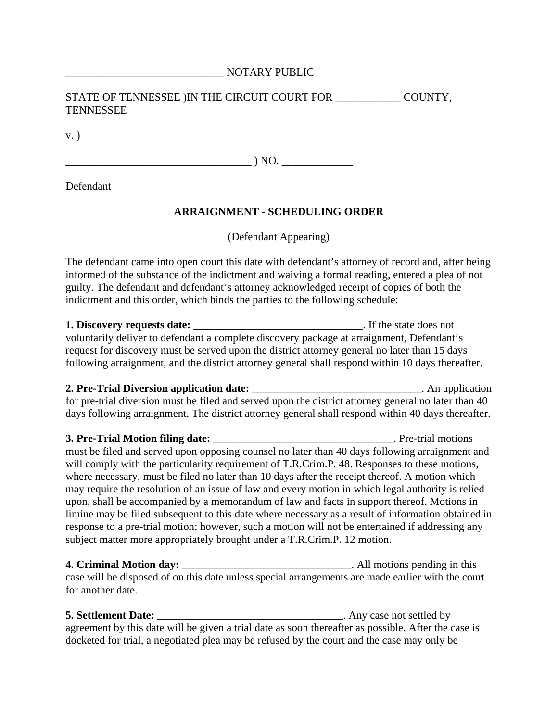#### \_\_\_\_\_\_\_\_\_\_\_\_\_\_\_\_\_\_\_\_\_\_\_\_\_\_\_\_\_ NOTARY PUBLIC

#### STATE OF TENNESSEE ) IN THE CIRCUIT COURT FOR COUNTY, TENNESSEE

v. )

 $) NO.$ 

Defendant

#### **ARRAIGNMENT - SCHEDULING ORDER**

(Defendant Appearing)

The defendant came into open court this date with defendant's attorney of record and, after being informed of the substance of the indictment and waiving a formal reading, entered a plea of not guilty. The defendant and defendant's attorney acknowledged receipt of copies of both the indictment and this order, which binds the parties to the following schedule:

**1. Discovery requests date:** \_\_\_\_\_\_\_\_\_\_\_\_\_\_\_\_\_\_\_\_\_\_\_\_\_\_\_\_\_\_\_. If the state does not voluntarily deliver to defendant a complete discovery package at arraignment, Defendant's request for discovery must be served upon the district attorney general no later than 15 days following arraignment, and the district attorney general shall respond within 10 days thereafter.

# **2. Pre-Trial Diversion application date:** \_\_\_\_\_\_\_\_\_\_\_\_\_\_\_\_\_\_\_\_\_\_\_\_\_\_\_\_\_\_\_. An application

for pre-trial diversion must be filed and served upon the district attorney general no later than 40 days following arraignment. The district attorney general shall respond within 40 days thereafter.

**3. Pre-Trial Motion filing date:**  $\blacksquare$  . Pre-trial motions must be filed and served upon opposing counsel no later than 40 days following arraignment and will comply with the particularity requirement of T.R.Crim.P. 48. Responses to these motions, where necessary, must be filed no later than 10 days after the receipt thereof. A motion which may require the resolution of an issue of law and every motion in which legal authority is relied upon, shall be accompanied by a memorandum of law and facts in support thereof. Motions in limine may be filed subsequent to this date where necessary as a result of information obtained in response to a pre-trial motion; however, such a motion will not be entertained if addressing any subject matter more appropriately brought under a T.R.Crim.P. 12 motion.

**4. Criminal Motion day:** All motions pending in this case will be disposed of on this date unless special arrangements are made earlier with the court for another date.

**5. Settlement Date:** \_\_\_\_\_\_\_\_\_\_\_\_\_\_\_\_\_\_\_\_\_\_\_\_\_\_\_\_\_\_\_\_\_\_. Any case not settled by agreement by this date will be given a trial date as soon thereafter as possible. After the case is docketed for trial, a negotiated plea may be refused by the court and the case may only be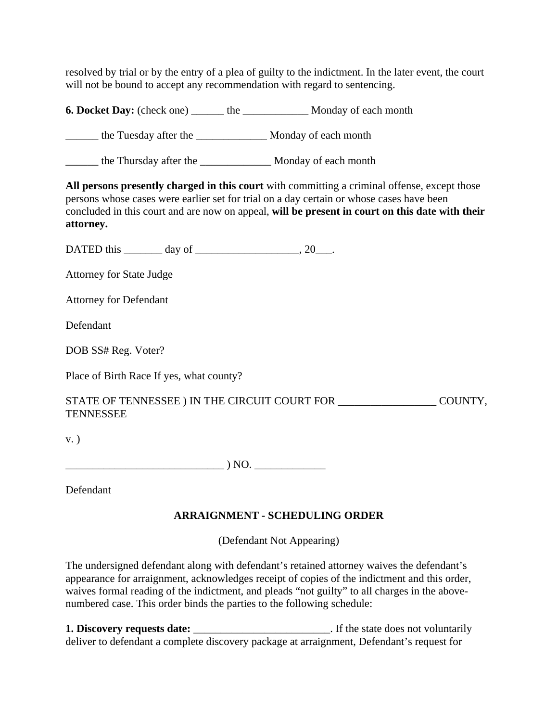resolved by trial or by the entry of a plea of guilty to the indictment. In the later event, the court will not be bound to accept any recommendation with regard to sentencing.

**6. Docket Day:** (check one) \_\_\_\_\_\_\_ the \_\_\_\_\_\_\_\_\_\_\_\_\_\_ Monday of each month

\_\_\_\_\_\_ the Tuesday after the \_\_\_\_\_\_\_\_\_\_\_\_\_ Monday of each month

\_\_\_\_\_\_ the Thursday after the \_\_\_\_\_\_\_\_\_\_\_\_\_ Monday of each month

**All persons presently charged in this court** with committing a criminal offense, except those persons whose cases were earlier set for trial on a day certain or whose cases have been concluded in this court and are now on appeal, **will be present in court on this date with their attorney.**

DATED this \_\_\_\_\_\_\_\_ day of \_\_\_\_\_\_\_\_\_\_\_\_\_\_\_\_\_\_\_, 20\_\_\_.

Attorney for State Judge

Attorney for Defendant

Defendant

DOB SS# Reg. Voter?

Place of Birth Race If yes, what county?

STATE OF TENNESSEE ) IN THE CIRCUIT COURT FOR \_\_\_\_\_\_\_\_\_\_\_\_\_\_\_\_\_\_\_\_\_\_ COUNTY, **TENNESSEE** 

v. )

\_\_\_\_\_\_\_\_\_\_\_\_\_\_\_\_\_\_\_\_\_\_\_\_\_\_\_\_\_ ) NO. \_\_\_\_\_\_\_\_\_\_\_\_\_

Defendant

## **ARRAIGNMENT - SCHEDULING ORDER**

(Defendant Not Appearing)

The undersigned defendant along with defendant's retained attorney waives the defendant's appearance for arraignment, acknowledges receipt of copies of the indictment and this order, waives formal reading of the indictment, and pleads "not guilty" to all charges in the abovenumbered case. This order binds the parties to the following schedule:

**1. Discovery requests date:**  $\blacksquare$  . If the state does not voluntarily deliver to defendant a complete discovery package at arraignment, Defendant's request for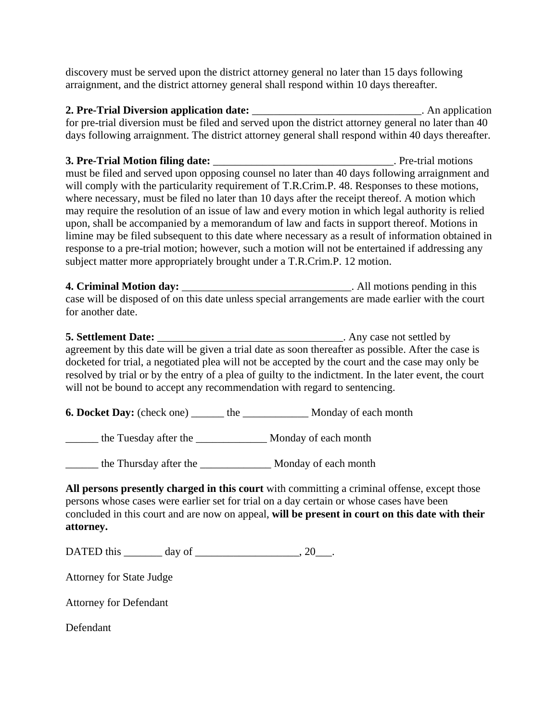discovery must be served upon the district attorney general no later than 15 days following arraignment, and the district attorney general shall respond within 10 days thereafter.

**2. Pre-Trial Diversion application date:** \_\_\_\_\_\_\_\_\_\_\_\_\_\_\_\_\_\_\_\_\_\_\_\_\_\_\_\_\_\_\_. An application for pre-trial diversion must be filed and served upon the district attorney general no later than 40 days following arraignment. The district attorney general shall respond within 40 days thereafter.

**3. Pre-Trial Motion filing date:**  $\blacksquare$  Pre-trial motions must be filed and served upon opposing counsel no later than 40 days following arraignment and will comply with the particularity requirement of T.R.Crim.P. 48. Responses to these motions, where necessary, must be filed no later than 10 days after the receipt thereof. A motion which may require the resolution of an issue of law and every motion in which legal authority is relied upon, shall be accompanied by a memorandum of law and facts in support thereof. Motions in limine may be filed subsequent to this date where necessary as a result of information obtained in response to a pre-trial motion; however, such a motion will not be entertained if addressing any subject matter more appropriately brought under a T.R.Crim.P. 12 motion.

**4. Criminal Motion day:** The same of the set of the set of the set of the set of the set of the set of the set of the set of the set of the set of the set of the set of the set of the set of the set of the set of the set case will be disposed of on this date unless special arrangements are made earlier with the court for another date.

**5. Settlement Date:** \_\_\_\_\_\_\_\_\_\_\_\_\_\_\_\_\_\_\_\_\_\_\_\_\_\_\_\_\_\_\_\_\_. Any case not settled by agreement by this date will be given a trial date as soon thereafter as possible. After the case is docketed for trial, a negotiated plea will not be accepted by the court and the case may only be resolved by trial or by the entry of a plea of guilty to the indictment. In the later event, the court will not be bound to accept any recommendation with regard to sentencing.

**6. Docket Day:** (check one) the Monday of each month

\_\_\_\_\_\_ the Tuesday after the \_\_\_\_\_\_\_\_\_\_\_\_\_ Monday of each month

\_\_\_\_\_\_ the Thursday after the \_\_\_\_\_\_\_\_\_\_\_\_\_ Monday of each month

**All persons presently charged in this court** with committing a criminal offense, except those persons whose cases were earlier set for trial on a day certain or whose cases have been concluded in this court and are now on appeal, **will be present in court on this date with their attorney.**

DATED this  $\qquad \qquad \text{day of} \qquad \qquad .20$ 

Attorney for State Judge

Attorney for Defendant

Defendant